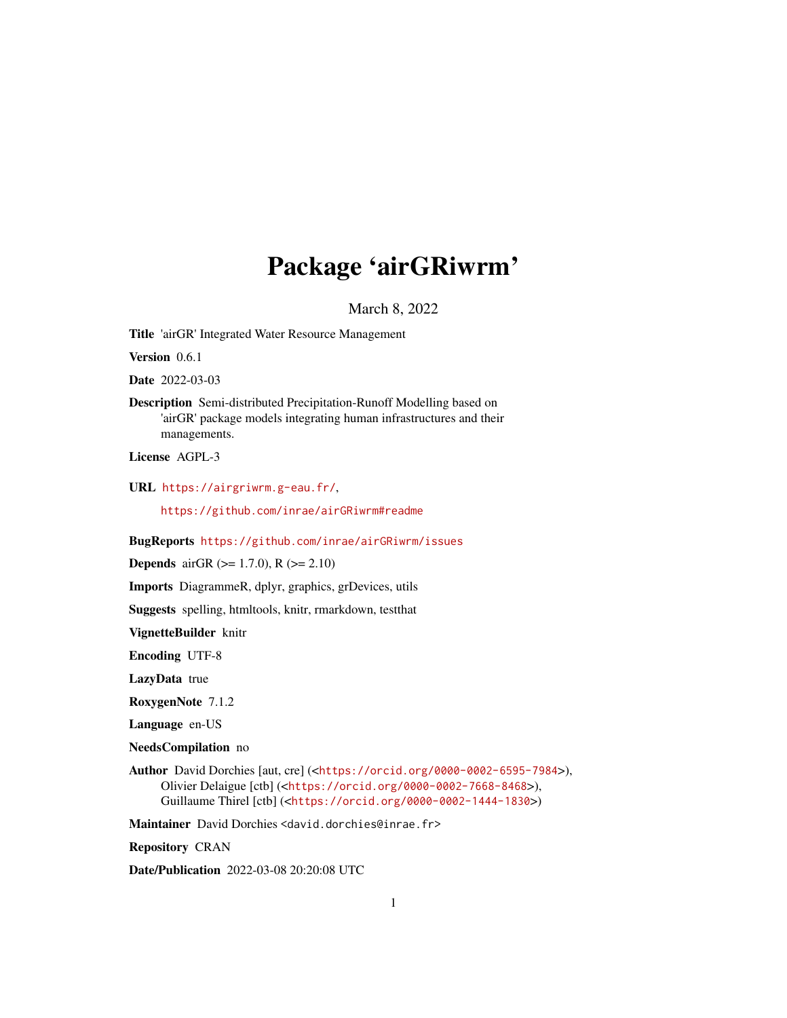# Package 'airGRiwrm'

March 8, 2022

<span id="page-0-0"></span>Title 'airGR' Integrated Water Resource Management

Version 0.6.1

Date 2022-03-03

Description Semi-distributed Precipitation-Runoff Modelling based on 'airGR' package models integrating human infrastructures and their managements.

License AGPL-3

URL <https://airgriwrm.g-eau.fr/>,

<https://github.com/inrae/airGRiwrm#readme>

BugReports <https://github.com/inrae/airGRiwrm/issues>

**Depends** airGR ( $>= 1.7.0$ ), R ( $>= 2.10$ )

Imports DiagrammeR, dplyr, graphics, grDevices, utils

Suggests spelling, htmltools, knitr, rmarkdown, testthat

VignetteBuilder knitr

Encoding UTF-8

LazyData true

RoxygenNote 7.1.2

Language en-US

NeedsCompilation no

Author David Dorchies [aut, cre] (<<https://orcid.org/0000-0002-6595-7984>>), Olivier Delaigue [ctb] (<<https://orcid.org/0000-0002-7668-8468>>), Guillaume Thirel [ctb] (<<https://orcid.org/0000-0002-1444-1830>>)

Maintainer David Dorchies <david.dorchies@inrae.fr>

Repository CRAN

Date/Publication 2022-03-08 20:20:08 UTC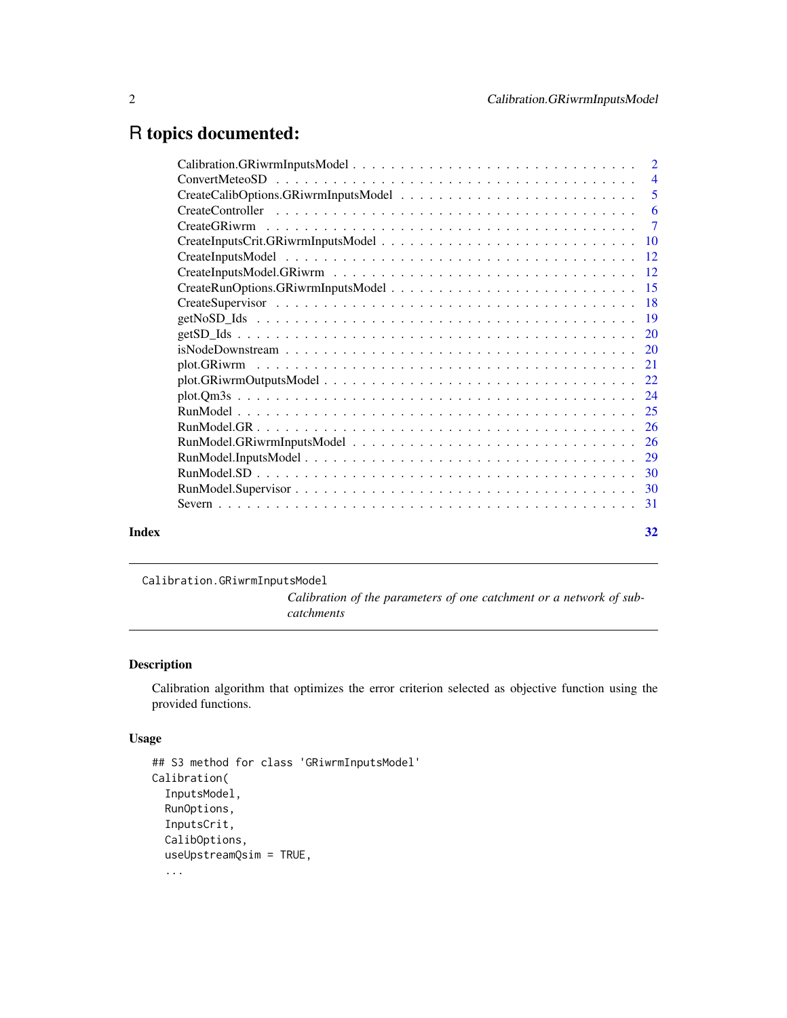## <span id="page-1-0"></span>R topics documented:

|       | $isNodeDown stream \ldots \ldots \ldots \ldots \ldots \ldots \ldots \ldots \ldots \ldots \ldots \ldots 20$ |    |
|-------|------------------------------------------------------------------------------------------------------------|----|
|       |                                                                                                            |    |
|       |                                                                                                            |    |
|       |                                                                                                            |    |
|       |                                                                                                            |    |
|       |                                                                                                            |    |
|       |                                                                                                            |    |
|       |                                                                                                            |    |
|       |                                                                                                            |    |
|       |                                                                                                            |    |
|       |                                                                                                            |    |
|       |                                                                                                            |    |
| Index |                                                                                                            | 32 |

Calibration.GRiwrmInputsModel

*Calibration of the parameters of one catchment or a network of subcatchments*

## Description

Calibration algorithm that optimizes the error criterion selected as objective function using the provided functions.

## Usage

```
## S3 method for class 'GRiwrmInputsModel'
Calibration(
  InputsModel,
 RunOptions,
  InputsCrit,
  CalibOptions,
  useUpstreamQsim = TRUE,
  ...
```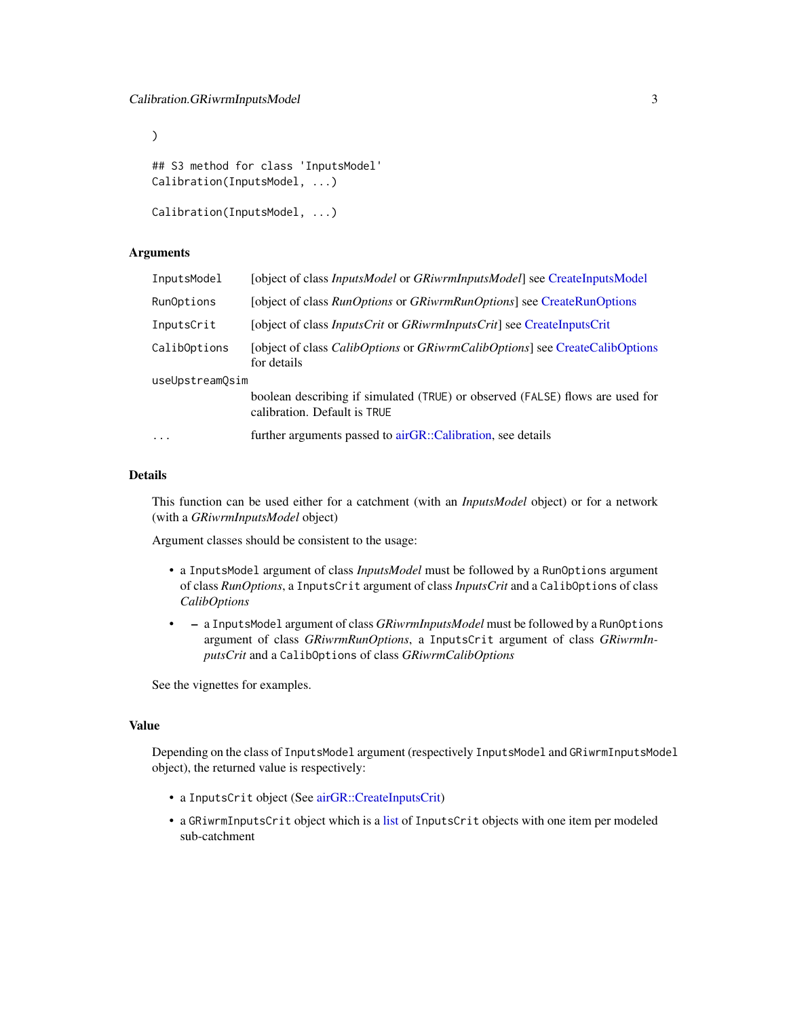```
## S3 method for class 'InputsModel'
Calibration(InputsModel, ...)
```

```
Calibration(InputsModel, ...)
```
#### **Arguments**

<span id="page-2-0"></span> $\mathcal{L}$ 

| InputsModel     | [object of class <i>InputsModel</i> or <i>GRiwrmInputsModel</i> ] see CreateInputsModel                       |
|-----------------|---------------------------------------------------------------------------------------------------------------|
| RunOptions      | [object of class <i>RunOptions</i> or <i>GRiwrmRunOptions</i> ] see CreateRunOptions                          |
| InputsCrit      | [object of class <i>InputsCrit</i> or <i>GRiwrmInputsCrit</i> ] see <i>CreateInputsCrit</i>                   |
| CalibOptions    | [object of class <i>CalibOptions</i> or <i>GRiwrmCalibOptions</i> ] see CreateCalibOptions<br>for details     |
| useUpstreamOsim |                                                                                                               |
|                 | boolean describing if simulated (TRUE) or observed (FALSE) flows are used for<br>calibration. Default is TRUE |
| $\cdot$         | further arguments passed to airGR::Calibration, see details                                                   |

## Details

This function can be used either for a catchment (with an *InputsModel* object) or for a network (with a *GRiwrmInputsModel* object)

Argument classes should be consistent to the usage:

- a InputsModel argument of class *InputsModel* must be followed by a RunOptions argument of class *RunOptions*, a InputsCrit argument of class *InputsCrit* and a CalibOptions of class *CalibOptions*
- – a InputsModel argument of class *GRiwrmInputsModel* must be followed by a RunOptions argument of class *GRiwrmRunOptions*, a InputsCrit argument of class *GRiwrmInputsCrit* and a CalibOptions of class *GRiwrmCalibOptions*

See the vignettes for examples.

## Value

Depending on the class of InputsModel argument (respectively InputsModel and GRiwrmInputsModel object), the returned value is respectively:

- a InputsCrit object (See [airGR::CreateInputsCrit\)](#page-0-0)
- a GRiwrmInputsCrit object which is a [list](#page-0-0) of InputsCrit objects with one item per modeled sub-catchment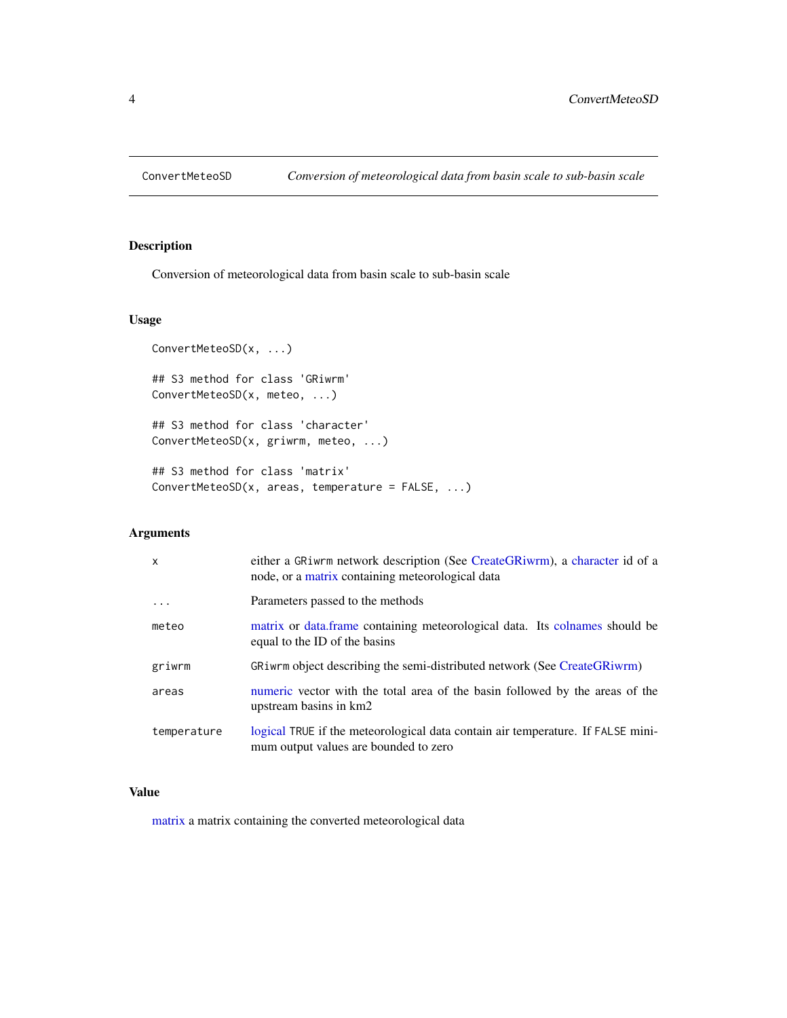<span id="page-3-0"></span>

Conversion of meteorological data from basin scale to sub-basin scale

## Usage

```
ConvertMeteoSD(x, ...)
## S3 method for class 'GRiwrm'
ConvertMeteoSD(x, meteo, ...)
## S3 method for class 'character'
ConvertMeteoSD(x, griwrm, meteo, ...)
## S3 method for class 'matrix'
ConvertMeteoSD(x, areas, temperature = FALSE, ...)
```
## Arguments

| $\mathsf{x}$ | either a GRiwrm network description (See CreateGRiwrm), a character id of a<br>node, or a matrix containing meteorological data |
|--------------|---------------------------------------------------------------------------------------------------------------------------------|
| .            | Parameters passed to the methods                                                                                                |
| meteo        | matrix or data. frame containing meteorological data. Its colnames should be<br>equal to the ID of the basins                   |
| griwrm       | GRiwrm object describing the semi-distributed network (See CreateGRiwrm)                                                        |
| areas        | numeric vector with the total area of the basin followed by the areas of the<br>upstream basins in km2                          |
| temperature  | logical TRUE if the meteorological data contain air temperature. If FALSE mini-<br>mum output values are bounded to zero        |

## Value

[matrix](#page-0-0) a matrix containing the converted meteorological data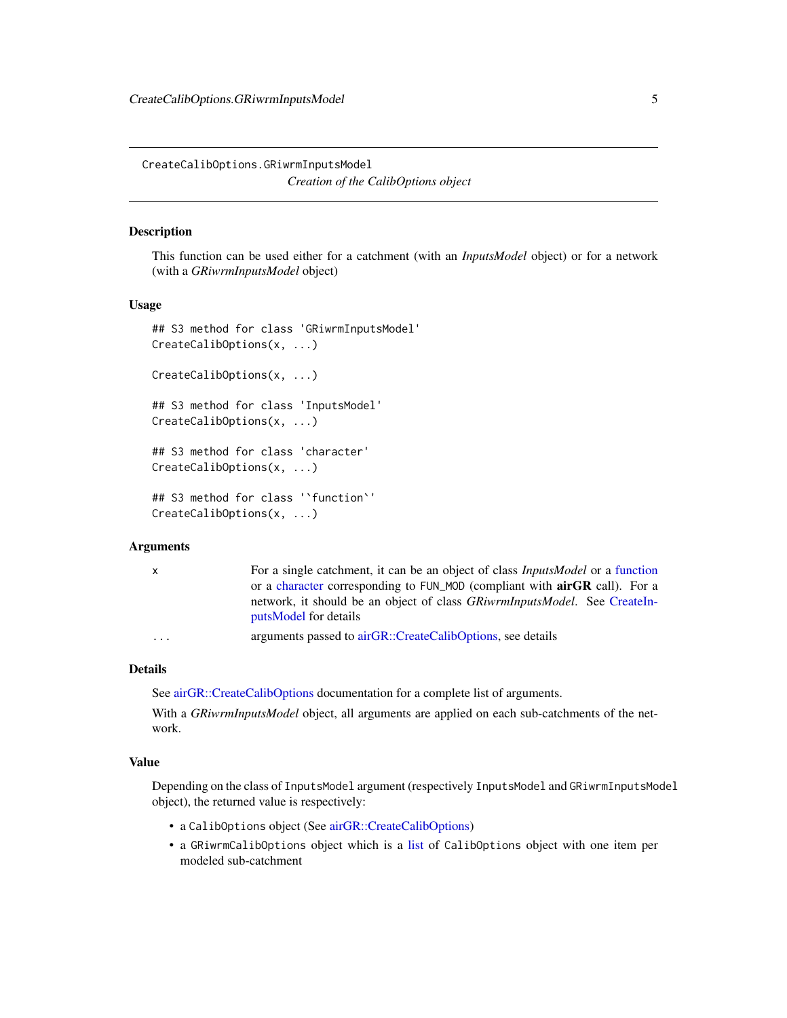<span id="page-4-0"></span>CreateCalibOptions.GRiwrmInputsModel *Creation of the CalibOptions object*

## <span id="page-4-1"></span>Description

This function can be used either for a catchment (with an *InputsModel* object) or for a network (with a *GRiwrmInputsModel* object)

#### Usage

```
## S3 method for class 'GRiwrmInputsModel'
CreateCalibOptions(x, ...)
CreateCalibOptions(x, ...)
## S3 method for class 'InputsModel'
CreateCalibOptions(x, ...)
## S3 method for class 'character'
CreateCalibOptions(x, ...)
## S3 method for class '`function`'
CreateCalibOptions(x, ...)
```
#### Arguments

| X.                      | For a single catchment, it can be an object of class <i>InputsModel</i> or a function                      |
|-------------------------|------------------------------------------------------------------------------------------------------------|
|                         | or a character corresponding to FUN_MOD (compliant with <b>airGR</b> call). For a                          |
|                         | network, it should be an object of class <i>GRiwrmInputsModel</i> . See CreateIn-<br>putsModel for details |
| $\cdot$ $\cdot$ $\cdot$ | arguments passed to airGR::CreateCalibOptions, see details                                                 |

#### Details

See [airGR::CreateCalibOptions](#page-0-0) documentation for a complete list of arguments.

With a *GRiwrmInputsModel* object, all arguments are applied on each sub-catchments of the network.

#### Value

Depending on the class of InputsModel argument (respectively InputsModel and GRiwrmInputsModel object), the returned value is respectively:

- a CalibOptions object (See [airGR::CreateCalibOptions\)](#page-0-0)
- a GRiwrmCalibOptions object which is a [list](#page-0-0) of CalibOptions object with one item per modeled sub-catchment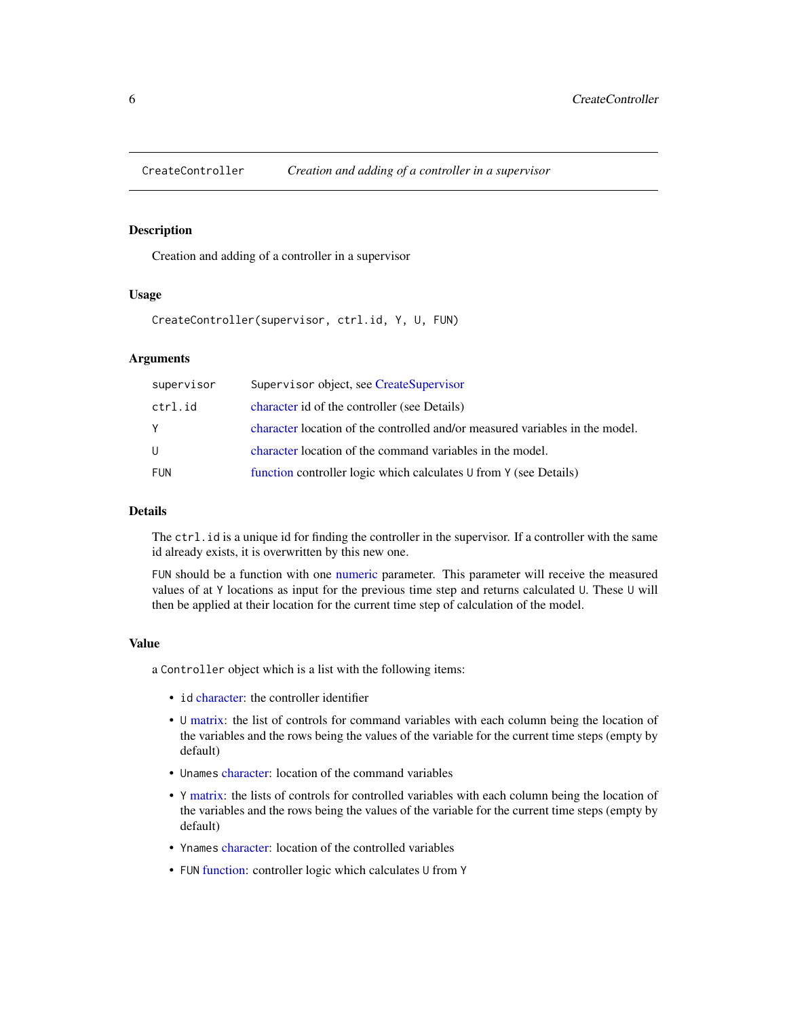<span id="page-5-1"></span><span id="page-5-0"></span>

Creation and adding of a controller in a supervisor

## Usage

CreateController(supervisor, ctrl.id, Y, U, FUN)

## Arguments

| supervisor | Supervisor object, see CreateSupervisor                                      |
|------------|------------------------------------------------------------------------------|
| ctrl.id    | character id of the controller (see Details)                                 |
| Y          | character location of the controlled and/or measured variables in the model. |
| U          | character location of the command variables in the model.                    |
| <b>FUN</b> | function controller logic which calculates U from Y (see Details)            |

#### Details

The ctrl.id is a unique id for finding the controller in the supervisor. If a controller with the same id already exists, it is overwritten by this new one.

FUN should be a function with one [numeric](#page-0-0) parameter. This parameter will receive the measured values of at Y locations as input for the previous time step and returns calculated U. These U will then be applied at their location for the current time step of calculation of the model.

## Value

a Controller object which is a list with the following items:

- id [character:](#page-0-0) the controller identifier
- U [matrix:](#page-0-0) the list of controls for command variables with each column being the location of the variables and the rows being the values of the variable for the current time steps (empty by default)
- Unames [character:](#page-0-0) location of the command variables
- Y [matrix:](#page-0-0) the lists of controls for controlled variables with each column being the location of the variables and the rows being the values of the variable for the current time steps (empty by default)
- Ynames [character:](#page-0-0) location of the controlled variables
- FUN [function:](#page-0-0) controller logic which calculates U from Y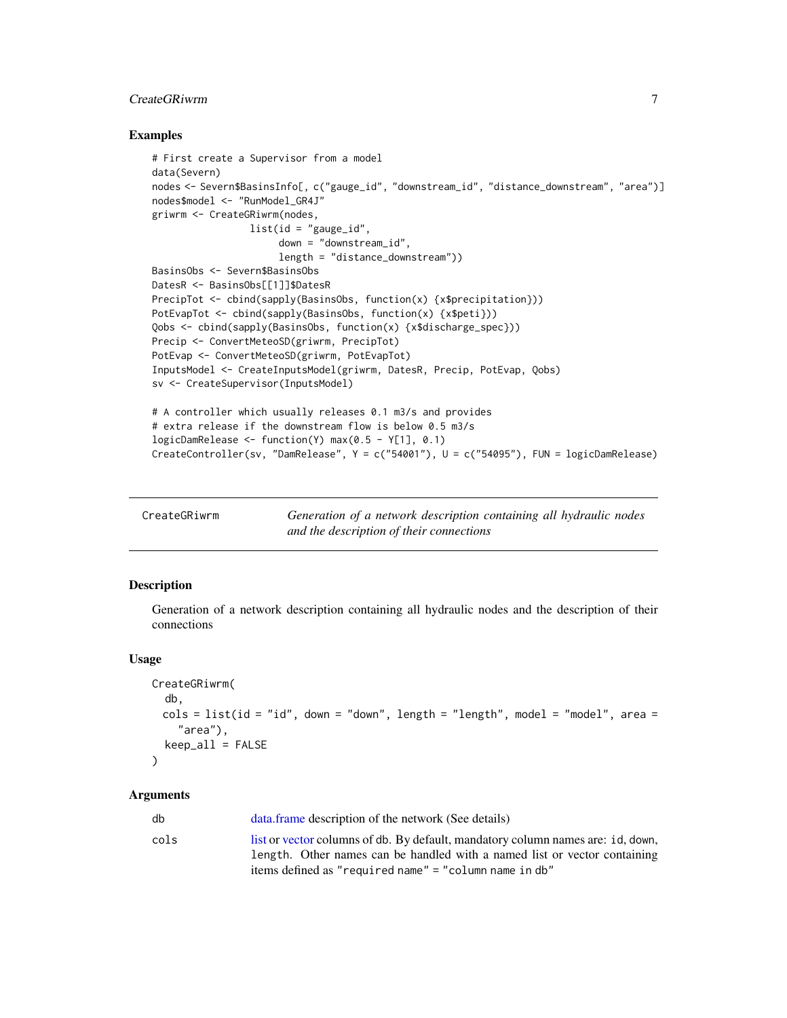## <span id="page-6-0"></span>CreateGRiwrm 7

#### Examples

```
# First create a Supervisor from a model
data(Severn)
nodes <- Severn$BasinsInfo[, c("gauge_id", "downstream_id", "distance_downstream", "area")]
nodes$model <- "RunModel_GR4J"
griwrm <- CreateGRiwrm(nodes,
                 list(id = "gauge_id",
                      down = "downstream_id",
                      length = "distance_downstream"))
BasinsObs <- Severn$BasinsObs
DatesR <- BasinsObs[[1]]$DatesR
PrecipTot <- cbind(sapply(BasinsObs, function(x) {x$precipitation}))
PotEvapTot <- cbind(sapply(BasinsObs, function(x) {x$peti}))
Qobs <- cbind(sapply(BasinsObs, function(x) {x$discharge_spec}))
Precip <- ConvertMeteoSD(griwrm, PrecipTot)
PotEvap <- ConvertMeteoSD(griwrm, PotEvapTot)
InputsModel <- CreateInputsModel(griwrm, DatesR, Precip, PotEvap, Qobs)
sv <- CreateSupervisor(InputsModel)
# A controller which usually releases 0.1 m3/s and provides
# extra release if the downstream flow is below 0.5 m3/s
logicDamRelease <- function(Y) max(0.5 - Y[1], 0.1)
CreateController(sv, "DamRelease", Y = c("54001"), U = c("54095"), FUN = logicDamRelease)
```
<span id="page-6-1"></span>

| CreateGRiwrm | Generation of a network description containing all hydraulic nodes |
|--------------|--------------------------------------------------------------------|
|              | and the description of their connections                           |

## Description

Generation of a network description containing all hydraulic nodes and the description of their connections

#### Usage

```
CreateGRiwrm(
   db,
  \text{cols} = \text{list}(\text{id} = \text{"id", down} = \text{"down", length} = \text{"length", model} = \text{"model", area} ="area"),
  keep_all = FALSE
)
```
#### Arguments

| db   | data.frame description of the network (See details)                                                                                                          |
|------|--------------------------------------------------------------------------------------------------------------------------------------------------------------|
| cols | list or vector columns of db. By default, mandatory column names are: id, down,<br>length. Other names can be handled with a named list or vector containing |
|      | items defined as "required name" = "column name in db"                                                                                                       |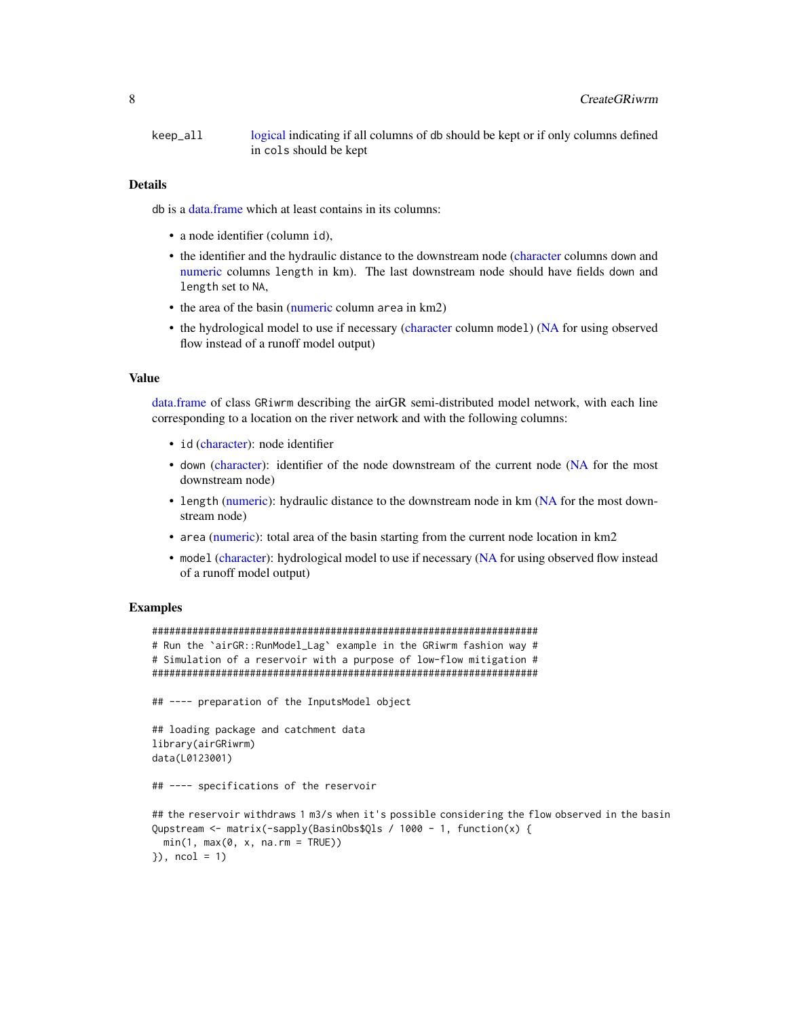<span id="page-7-0"></span>keep\_all [logical](#page-0-0) indicating if all columns of db should be kept or if only columns defined in cols should be kept

#### Details

db is a [data.frame](#page-0-0) which at least contains in its columns:

- a node identifier (column id),
- the identifier and the hydraulic distance to the downstream node [\(character](#page-0-0) columns down and [numeric](#page-0-0) columns length in km). The last downstream node should have fields down and length set to NA,
- the area of the basin [\(numeric](#page-0-0) column area in km2)
- the hydrological model to use if necessary [\(character](#page-0-0) column model) [\(NA](#page-0-0) for using observed flow instead of a runoff model output)

#### Value

[data.frame](#page-0-0) of class GRiwrm describing the airGR semi-distributed model network, with each line corresponding to a location on the river network and with the following columns:

- id [\(character\)](#page-0-0): node identifier
- down [\(character\)](#page-0-0): identifier of the node downstream of the current node [\(NA](#page-0-0) for the most downstream node)
- length [\(numeric\)](#page-0-0): hydraulic distance to the downstream node in km [\(NA](#page-0-0) for the most downstream node)
- area [\(numeric\)](#page-0-0): total area of the basin starting from the current node location in km2
- model [\(character\)](#page-0-0): hydrological model to use if necessary [\(NA](#page-0-0) for using observed flow instead of a runoff model output)

#### Examples

```
###################################################################
# Run the `airGR::RunModel_Lag` example in the GRiwrm fashion way #
# Simulation of a reservoir with a purpose of low-flow mitigation #
###################################################################
## ---- preparation of the InputsModel object
## loading package and catchment data
library(airGRiwrm)
data(L0123001)
## ---- specifications of the reservoir
## the reservoir withdraws 1 m3/s when it's possible considering the flow observed in the basin
Qupstream <- matrix(-sapply(BasinObs$Qls / 1000 - 1, function(x) {
 min(1, max(0, x, n a.rm = TRUE))}), ncol = 1)
```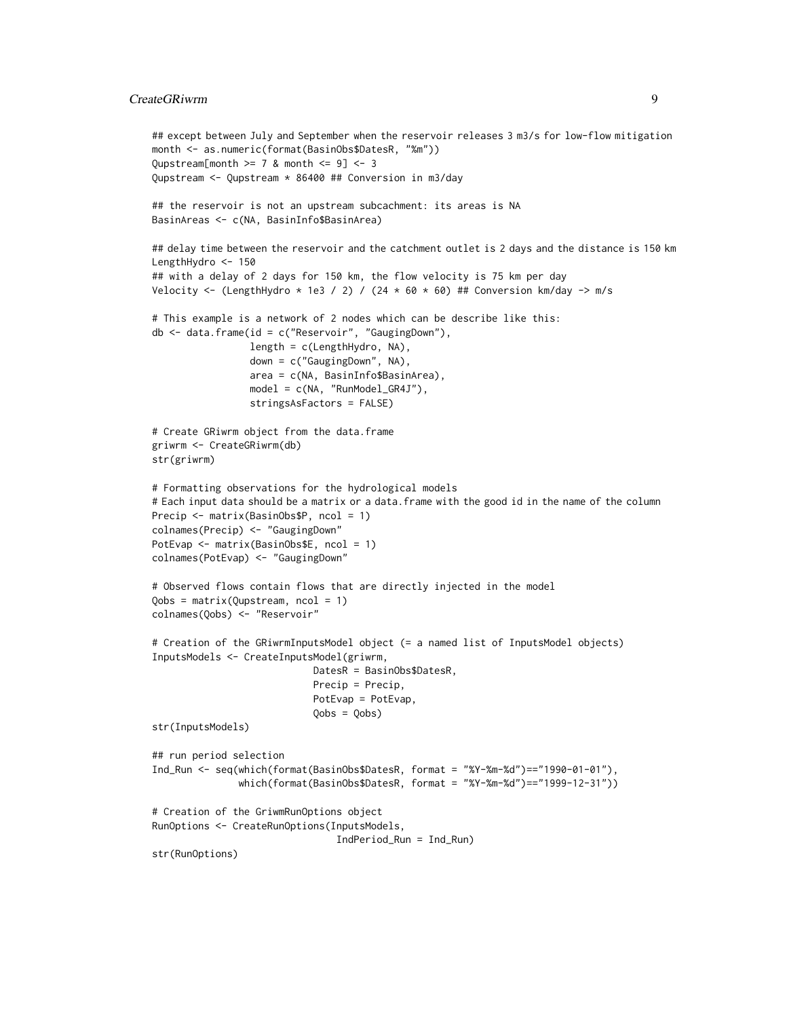## CreateGRiwrm 9

```
## except between July and September when the reservoir releases 3 m3/s for low-flow mitigation
month <- as.numeric(format(BasinObs$DatesR, "%m"))
Qupstream[month >= 7 & month <= 9] <- 3Qupstream <- Qupstream * 86400 ## Conversion in m3/day
## the reservoir is not an upstream subcachment: its areas is NA
BasinAreas <- c(NA, BasinInfo$BasinArea)
## delay time between the reservoir and the catchment outlet is 2 days and the distance is 150 km
LengthHydro <- 150
## with a delay of 2 days for 150 km, the flow velocity is 75 km per day
Velocity <- (LengthHydro * 1e3 / 2) / (24 * 60 * 60) ## Conversion km/day -> m/s
# This example is a network of 2 nodes which can be describe like this:
db <- data.frame(id = c("Reservoir", "GaugingDown"),
                 length = c(LengthHydro, NA),
                 down = c("GaugingDown", NA),
                 area = c(NA, BasinInfo$BasinArea),
                 model = c(NA, "RunModel_GR4J"),
                 stringsAsFactors = FALSE)
# Create GRiwrm object from the data.frame
griwrm <- CreateGRiwrm(db)
str(griwrm)
# Formatting observations for the hydrological models
# Each input data should be a matrix or a data.frame with the good id in the name of the column
Precip <- matrix(BasinObs$P, ncol = 1)
colnames(Precip) <- "GaugingDown"
PotEvap <- matrix(BasinObs$E, ncol = 1)
colnames(PotEvap) <- "GaugingDown"
# Observed flows contain flows that are directly injected in the model
Qobs = matrix(Qupstream, ncol = 1)
colnames(Qobs) <- "Reservoir"
# Creation of the GRiwrmInputsModel object (= a named list of InputsModel objects)
InputsModels <- CreateInputsModel(griwrm,
                            DatesR = BasinObs$DatesR,
                            Precip = Precip,
                            PotEvap = PotEvap,
                            Qobs = Qobs)
str(InputsModels)
## run period selection
Ind_Run <- seq(which(format(BasinObs$DatesR, format = "%Y-%m-%d")=="1990-01-01"),
               which(format(BasinObs$DatesR, format = "%Y-%m-%d")=="1999-12-31"))
# Creation of the GriwmRunOptions object
RunOptions <- CreateRunOptions(InputsModels,
                                IndPeriod_Run = Ind_Run)
str(RunOptions)
```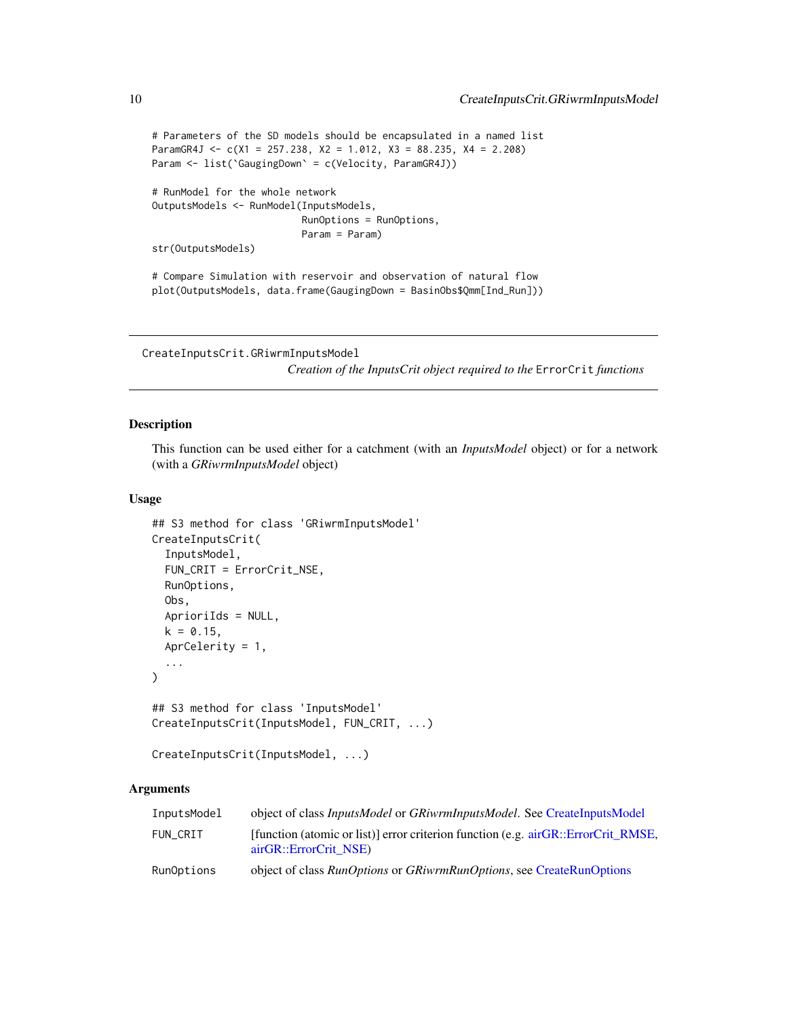```
# Parameters of the SD models should be encapsulated in a named list
ParamGR4J <- c(X1 = 257.238, X2 = 1.012, X3 = 88.235, X4 = 2.208)
Param <- list(`GaugingDown` = c(Velocity, ParamGR4J))
# RunModel for the whole network
OutputsModels <- RunModel(InputsModels,
                          RunOptions = RunOptions,
                          Param = Param)
str(OutputsModels)
# Compare Simulation with reservoir and observation of natural flow
plot(OutputsModels, data.frame(GaugingDown = BasinObs$Qmm[Ind_Run]))
```

```
CreateInputsCrit.GRiwrmInputsModel
```
*Creation of the InputsCrit object required to the* ErrorCrit *functions*

## <span id="page-9-1"></span>Description

This function can be used either for a catchment (with an *InputsModel* object) or for a network (with a *GRiwrmInputsModel* object)

#### Usage

```
## S3 method for class 'GRiwrmInputsModel'
CreateInputsCrit(
  InputsModel,
  FUN_CRIT = ErrorCrit_NSE,
  RunOptions,
  Obs,
  AprioriIds = NULL,
  k = 0.15,
  AprCelerity = 1,
  ...
)
## S3 method for class 'InputsModel'
CreateInputsCrit(InputsModel, FUN_CRIT, ...)
```

```
CreateInputsCrit(InputsModel, ...)
```
## Arguments

| InputsModel | object of class <i>InputsModel</i> or <i>GRiwrmInputsModel</i> . See CreateInputsModel                     |
|-------------|------------------------------------------------------------------------------------------------------------|
| FUN CRIT    | [function (atomic or list)] error criterion function (e.g. airGR::ErrorCrit RMSE,<br>airGR::ErrorCrit NSE) |
| RunOptions  | object of class <i>RunOptions</i> or <i>GRiwrmRunOptions</i> , see CreateRunOptions                        |

<span id="page-9-0"></span>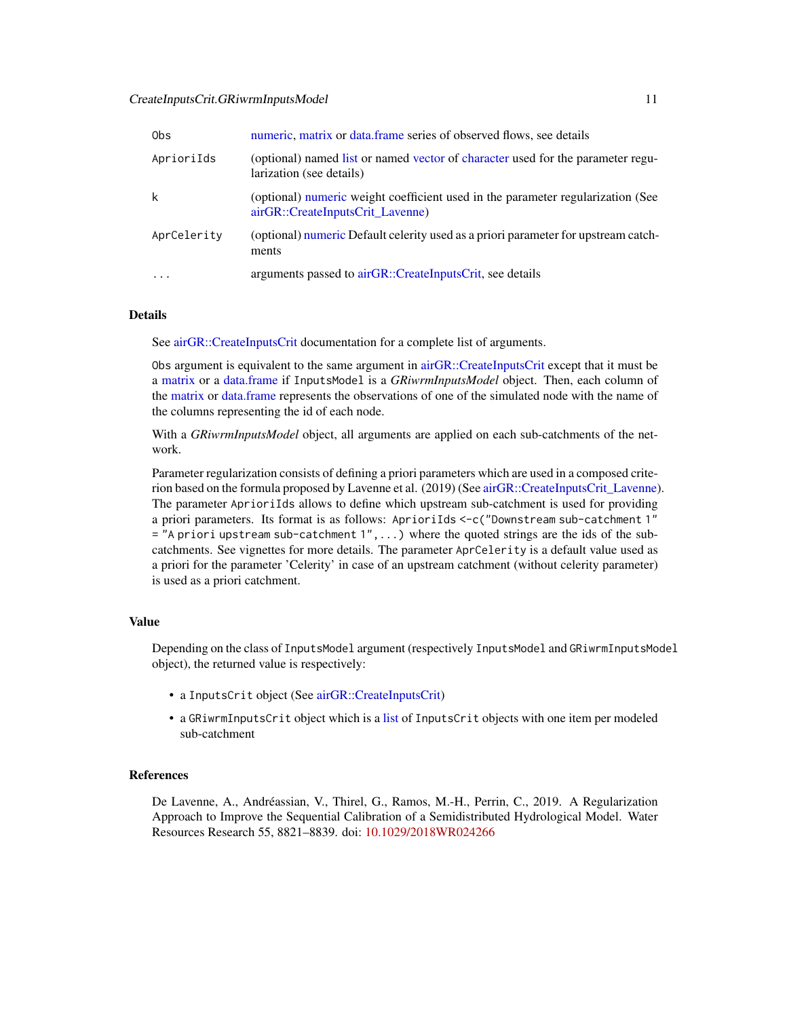#### <span id="page-10-0"></span>CreateInputsCrit.GRiwrmInputsModel 11

| 0bs         | numeric, matrix or data, frame series of observed flows, see details                                                |
|-------------|---------------------------------------------------------------------------------------------------------------------|
| AprioriIds  | (optional) named list or named vector of character used for the parameter regu-<br>larization (see details)         |
| k           | (optional) numeric weight coefficient used in the parameter regularization (See<br>airGR::CreateInputsCrit_Lavenne) |
| AprCelerity | (optional) numeric Default celerity used as a priori parameter for upstream catch-<br>ments                         |
| $\ddotsc$   | arguments passed to airGR::CreateInputsCrit, see details                                                            |

#### Details

See [airGR::CreateInputsCrit](#page-0-0) documentation for a complete list of arguments.

Obs argument is equivalent to the same argument in [airGR::CreateInputsCrit](#page-0-0) except that it must be a [matrix](#page-0-0) or a [data.frame](#page-0-0) if InputsModel is a *GRiwrmInputsModel* object. Then, each column of the [matrix](#page-0-0) or [data.frame](#page-0-0) represents the observations of one of the simulated node with the name of the columns representing the id of each node.

With a *GRiwrmInputsModel* object, all arguments are applied on each sub-catchments of the network.

Parameter regularization consists of defining a priori parameters which are used in a composed criterion based on the formula proposed by Lavenne et al. (2019) (See [airGR::CreateInputsCrit\\_Lavenne\)](#page-0-0). The parameter AprioriIds allows to define which upstream sub-catchment is used for providing a priori parameters. Its format is as follows: AprioriIds <-c("Downstream sub-catchment 1"  $=$  "A priori upstream sub-catchment  $1$ ",...) where the quoted strings are the ids of the subcatchments. See vignettes for more details. The parameter AprCelerity is a default value used as a priori for the parameter 'Celerity' in case of an upstream catchment (without celerity parameter) is used as a priori catchment.

## Value

Depending on the class of InputsModel argument (respectively InputsModel and GRiwrmInputsModel object), the returned value is respectively:

- a InputsCrit object (See [airGR::CreateInputsCrit\)](#page-0-0)
- a GRiwrmInputsCrit object which is a [list](#page-0-0) of InputsCrit objects with one item per modeled sub-catchment

#### **References**

De Lavenne, A., Andréassian, V., Thirel, G., Ramos, M.-H., Perrin, C., 2019. A Regularization Approach to Improve the Sequential Calibration of a Semidistributed Hydrological Model. Water Resources Research 55, 8821–8839. doi: [10.1029/2018WR024266](https://doi.org/10.1029/2018WR024266)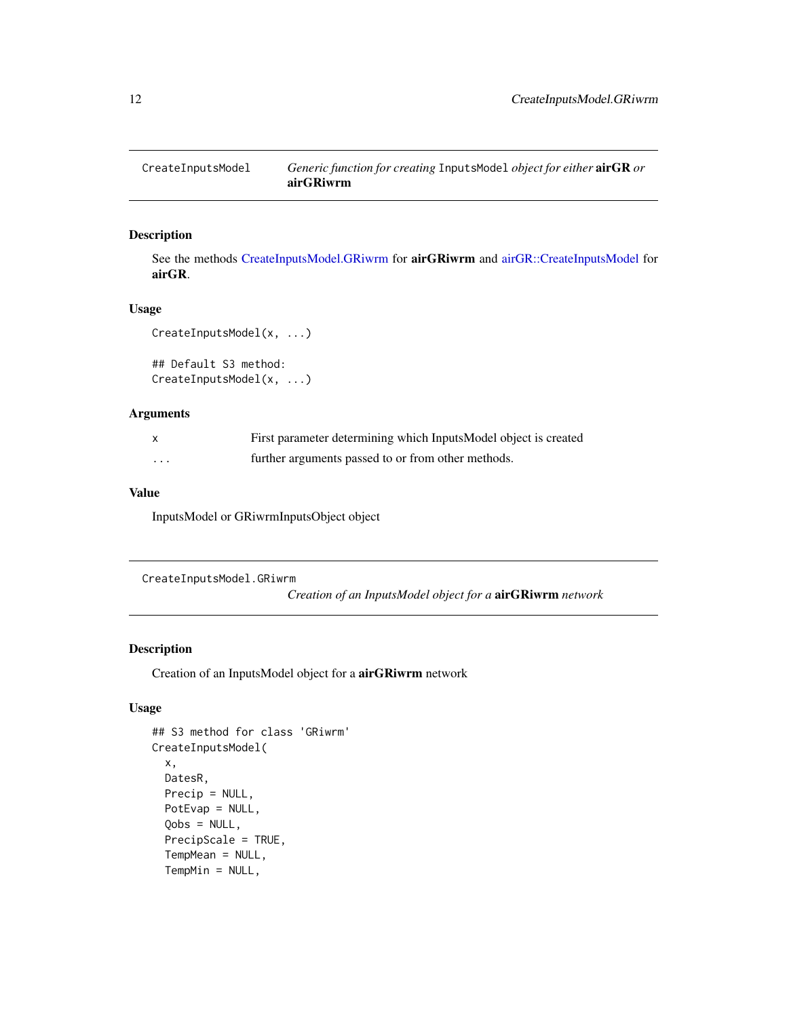<span id="page-11-1"></span><span id="page-11-0"></span>

See the methods [CreateInputsModel.GRiwrm](#page-11-2) for airGRiwrm and [airGR::CreateInputsModel](#page-0-0) for airGR.

#### Usage

```
CreateInputsModel(x, ...)
```
## Default S3 method: CreateInputsModel(x, ...)

#### Arguments

| X       | First parameter determining which InputsModel object is created |
|---------|-----------------------------------------------------------------|
| $\cdot$ | further arguments passed to or from other methods.              |

## Value

InputsModel or GRiwrmInputsObject object

```
CreateInputsModel.GRiwrm
```
*Creation of an InputsModel object for a* airGRiwrm *network*

## Description

Creation of an InputsModel object for a airGRiwrm network

## Usage

```
## S3 method for class 'GRiwrm'
CreateInputsModel(
  x,
 DatesR,
 Precip = NULL,
 PotEvap = NULL,
  Qobs = NULL,
  PrecipScale = TRUE,
  TempMean = NULL,
  TempMin = NULL,
```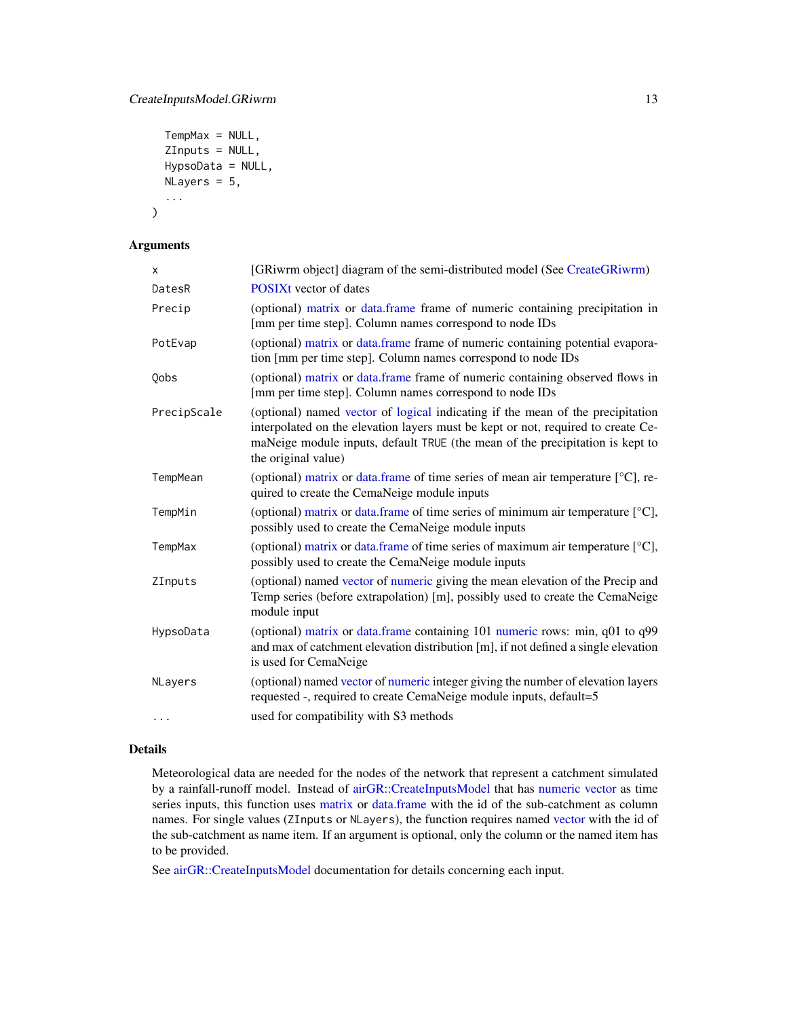```
TempMax = NULL,
ZInputs = NULL,
HypsoData = NULL,
NLayers = 5,
...
```
## Arguments

)

| X              | [GRiwrm object] diagram of the semi-distributed model (See CreateGRiwrm)                                                                                                                                                                                                   |
|----------------|----------------------------------------------------------------------------------------------------------------------------------------------------------------------------------------------------------------------------------------------------------------------------|
| DatesR         | <b>POSIXt</b> vector of dates                                                                                                                                                                                                                                              |
| Precip         | (optional) matrix or data.frame frame of numeric containing precipitation in<br>[mm per time step]. Column names correspond to node IDs                                                                                                                                    |
| PotEvap        | (optional) matrix or data.frame frame of numeric containing potential evapora-<br>tion [mm per time step]. Column names correspond to node IDs                                                                                                                             |
| Qobs           | (optional) matrix or data.frame frame of numeric containing observed flows in<br>[mm per time step]. Column names correspond to node IDs                                                                                                                                   |
| PrecipScale    | (optional) named vector of logical indicating if the mean of the precipitation<br>interpolated on the elevation layers must be kept or not, required to create Ce-<br>maNeige module inputs, default TRUE (the mean of the precipitation is kept to<br>the original value) |
| TempMean       | (optional) matrix or data.frame of time series of mean air temperature $[°C]$ , re-<br>quired to create the CemaNeige module inputs                                                                                                                                        |
| TempMin        | (optional) matrix or data.frame of time series of minimum air temperature $[^{\circ}C]$ ,<br>possibly used to create the CemaNeige module inputs                                                                                                                           |
| TempMax        | (optional) matrix or data.frame of time series of maximum air temperature $[^{\circ}C]$ ,<br>possibly used to create the CemaNeige module inputs                                                                                                                           |
| ZInputs        | (optional) named vector of numeric giving the mean elevation of the Precip and<br>Temp series (before extrapolation) [m], possibly used to create the CemaNeige<br>module input                                                                                            |
| HypsoData      | (optional) matrix or data.frame containing 101 numeric rows: min, q01 to q99<br>and max of catchment elevation distribution [m], if not defined a single elevation<br>is used for CemaNeige                                                                                |
| <b>NLavers</b> | (optional) named vector of numeric integer giving the number of elevation layers<br>requested -, required to create CemaNeige module inputs, default=5                                                                                                                     |
| $\cdots$       | used for compatibility with S3 methods                                                                                                                                                                                                                                     |

## Details

Meteorological data are needed for the nodes of the network that represent a catchment simulated by a rainfall-runoff model. Instead of [airGR::CreateInputsModel](#page-0-0) that has [numeric](#page-0-0) [vector](#page-0-0) as time series inputs, this function uses [matrix](#page-0-0) or [data.frame](#page-0-0) with the id of the sub-catchment as column names. For single values (ZInputs or NLayers), the function requires named [vector](#page-0-0) with the id of the sub-catchment as name item. If an argument is optional, only the column or the named item has to be provided.

See [airGR::CreateInputsModel](#page-0-0) documentation for details concerning each input.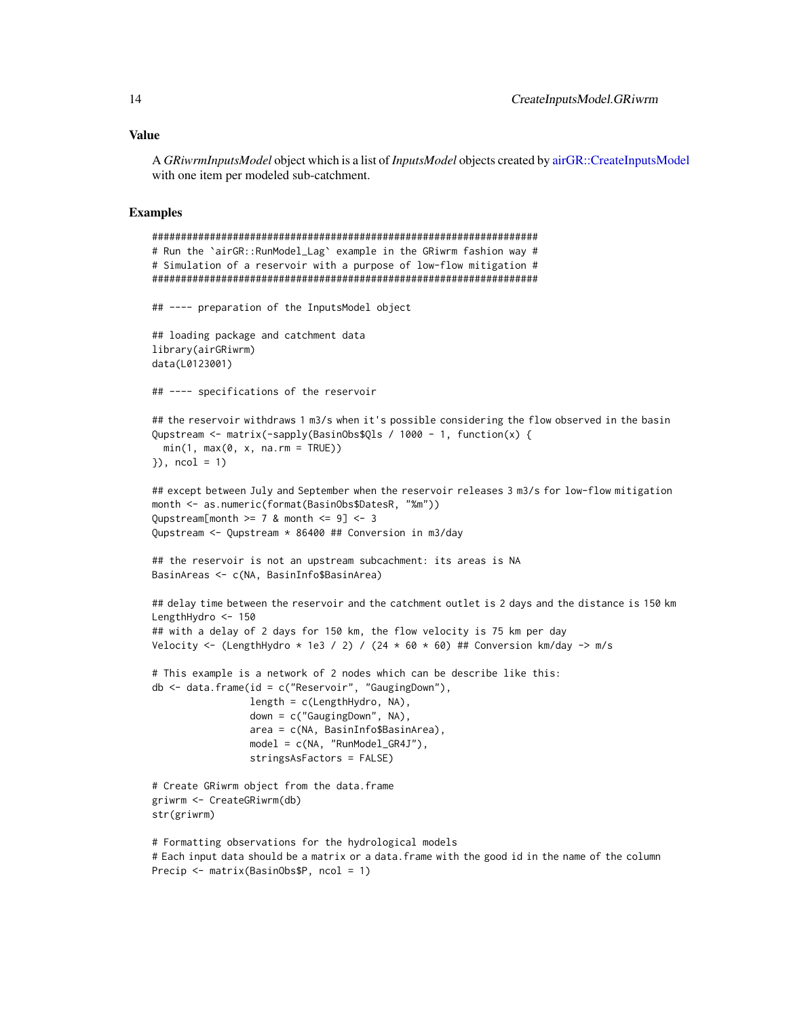#### <span id="page-13-0"></span>Value

A *GRiwrmInputsModel* object which is a list of *InputsModel* objects created by [airGR::CreateInputsModel](#page-0-0) with one item per modeled sub-catchment.

#### Examples

```
###################################################################
# Run the `airGR::RunModel_Lag` example in the GRiwrm fashion way #
# Simulation of a reservoir with a purpose of low-flow mitigation #
###################################################################
## ---- preparation of the InputsModel object
## loading package and catchment data
library(airGRiwrm)
data(L0123001)
## ---- specifications of the reservoir
## the reservoir withdraws 1 m3/s when it's possible considering the flow observed in the basin
Qupstream \leq matrix(-sapply(BasinObs$Qls / 1000 - 1, function(x) {
 min(1, max(0, x, na.rm = TRUE))\{3\}, ncol = 1)
## except between July and September when the reservoir releases 3 m3/s for low-flow mitigation
month <- as.numeric(format(BasinObs$DatesR, "%m"))
Qupstream[month >= 7 & month <= 9] <- 3Qupstream <- Qupstream * 86400 ## Conversion in m3/day
## the reservoir is not an upstream subcachment: its areas is NA
BasinAreas <- c(NA, BasinInfo$BasinArea)
## delay time between the reservoir and the catchment outlet is 2 days and the distance is 150 km
LengthHydro <- 150
## with a delay of 2 days for 150 km, the flow velocity is 75 km per day
Velocity <- (LengthHydro * 1e3 / 2) / (24 * 60 * 60) ## Conversion km/day -> m/s
# This example is a network of 2 nodes which can be describe like this:
db <- data.frame(id = c("Reservoir", "GaugingDown"),
                 length = c(LengthHydro, NA),
                 down = c("GaugingDown", NA),
                 area = c(NA, BasinInfo$BasinArea),
                 model = c(NA, "RunModel_GR4J"),
                 stringsAsFactors = FALSE)
# Create GRiwrm object from the data.frame
griwrm <- CreateGRiwrm(db)
str(griwrm)
# Formatting observations for the hydrological models
# Each input data should be a matrix or a data.frame with the good id in the name of the column
Precip <- matrix(BasinObs$P, ncol = 1)
```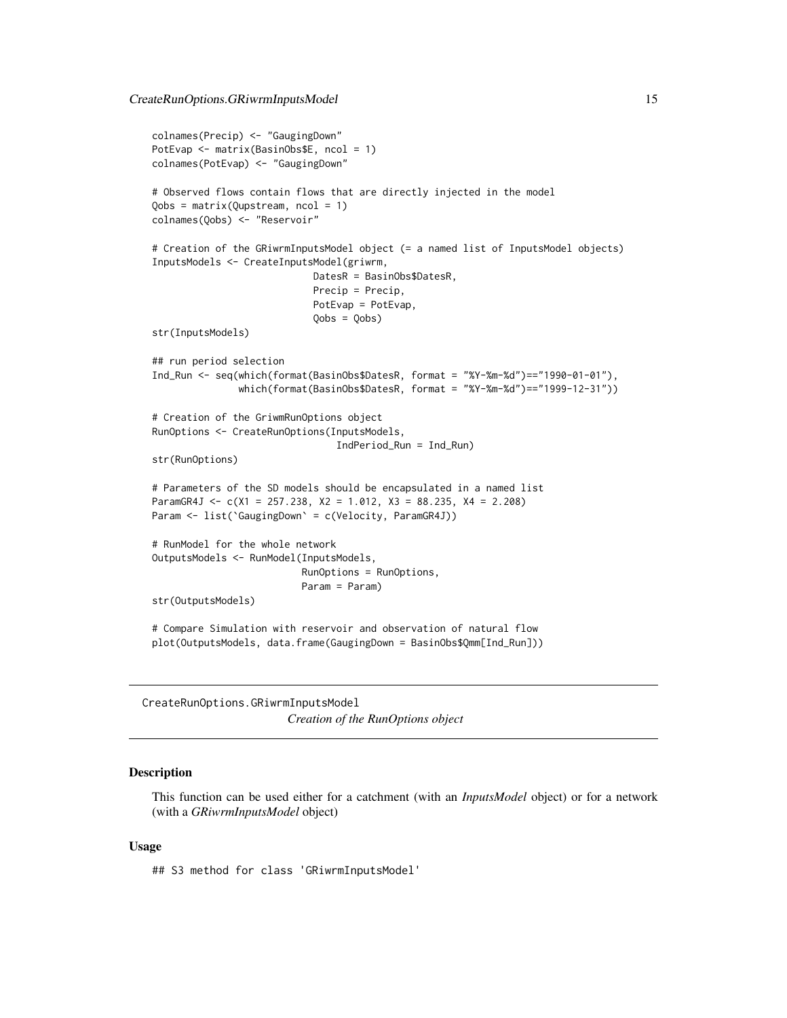```
colnames(Precip) <- "GaugingDown"
PotEvap <- matrix(BasinObs$E, ncol = 1)
colnames(PotEvap) <- "GaugingDown"
# Observed flows contain flows that are directly injected in the model
Qobs = matrix(Qupstream, ncol = 1)
colnames(Qobs) <- "Reservoir"
# Creation of the GRiwrmInputsModel object (= a named list of InputsModel objects)
InputsModels <- CreateInputsModel(griwrm,
                            DatesR = BasinObs$DatesR,
                            Precip = Precip,
                            PotEvap = PotEvap,
                            Qobs = Qobs)
str(InputsModels)
## run period selection
Ind_Run <- seq(which(format(BasinObs$DatesR, format = "%Y-%m-%d")=="1990-01-01"),
               which(format(BasinObs$DatesR, format = "%Y-%m-%d")=="1999-12-31"))
# Creation of the GriwmRunOptions object
RunOptions <- CreateRunOptions(InputsModels,
                                IndPeriod_Run = Ind_Run)
str(RunOptions)
# Parameters of the SD models should be encapsulated in a named list
ParamGR4J <- c(X1 = 257.238, X2 = 1.012, X3 = 88.235, X4 = 2.208)Param <- list(`GaugingDown` = c(Velocity, ParamGR4J))
# RunModel for the whole network
OutputsModels <- RunModel(InputsModels,
                          RunOptions = RunOptions,
                          Param = Param)
str(OutputsModels)
# Compare Simulation with reservoir and observation of natural flow
plot(OutputsModels, data.frame(GaugingDown = BasinObs$Qmm[Ind_Run]))
```
<span id="page-14-2"></span>CreateRunOptions.GRiwrmInputsModel *Creation of the RunOptions object*

#### <span id="page-14-1"></span>**Description**

This function can be used either for a catchment (with an *InputsModel* object) or for a network (with a *GRiwrmInputsModel* object)

#### Usage

## S3 method for class 'GRiwrmInputsModel'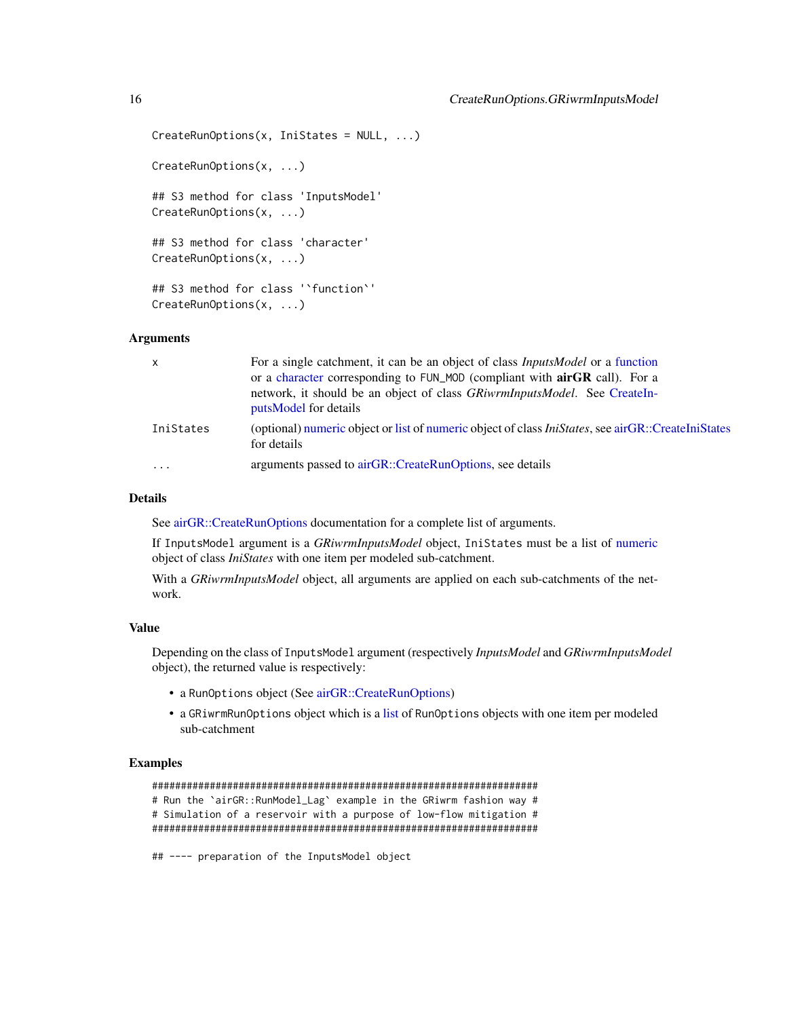```
CreateRunOptions(x, IniStates = NULL, ...)
CreateRunOptions(x, ...)
## S3 method for class 'InputsModel'
CreateRunOptions(x, ...)
## S3 method for class 'character'
CreateRunOptions(x, ...)
## S3 method for class '`function`'
CreateRunOptions(x, ...)
```
## Arguments

| $\mathsf{x}$ | For a single catchment, it can be an object of class <i>InputsModel</i> or a function<br>or a character corresponding to FUN_MOD (compliant with airGR call). For a<br>network, it should be an object of class GRiwrmInputsModel. See CreateIn-<br>putsModel for details |
|--------------|---------------------------------------------------------------------------------------------------------------------------------------------------------------------------------------------------------------------------------------------------------------------------|
| IniStates    | (optional) numeric object or list of numeric object of class <i>IniStates</i> , see airGR::CreateIniStates<br>for details                                                                                                                                                 |
| $\cdot$      | arguments passed to airGR::CreateRunOptions, see details                                                                                                                                                                                                                  |

## Details

See [airGR::CreateRunOptions](#page-0-0) documentation for a complete list of arguments.

If InputsModel argument is a *GRiwrmInputsModel* object, IniStates must be a list of [numeric](#page-0-0) object of class *IniStates* with one item per modeled sub-catchment.

With a *GRiwrmInputsModel* object, all arguments are applied on each sub-catchments of the network.

## Value

Depending on the class of InputsModel argument (respectively *InputsModel* and *GRiwrmInputsModel* object), the returned value is respectively:

- a RunOptions object (See [airGR::CreateRunOptions\)](#page-0-0)
- a GRiwrmRunOptions object which is a [list](#page-0-0) of RunOptions objects with one item per modeled sub-catchment

#### Examples

```
###################################################################
# Run the `airGR::RunModel_Lag` example in the GRiwrm fashion way #
# Simulation of a reservoir with a purpose of low-flow mitigation #
###################################################################
```
## ---- preparation of the InputsModel object

<span id="page-15-0"></span>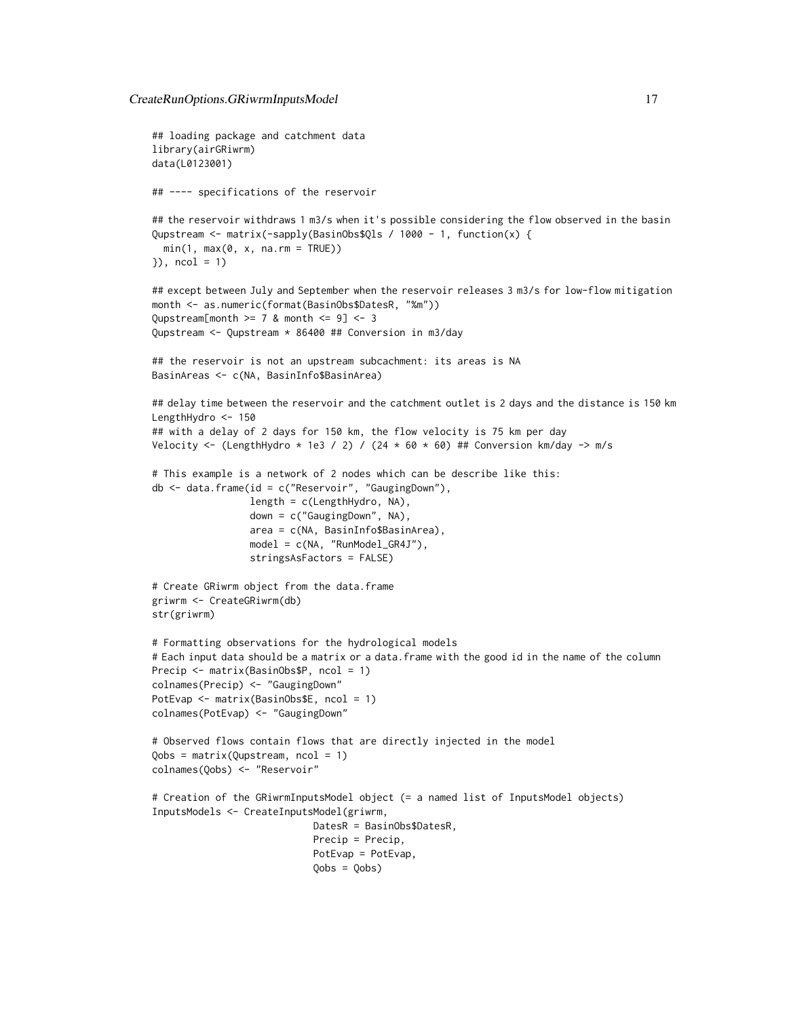```
## loading package and catchment data
library(airGRiwrm)
data(L0123001)
## ---- specifications of the reservoir
## the reservoir withdraws 1 m3/s when it's possible considering the flow observed in the basin
Qupstream <- matrix(-sapply(BasinObs$Qls / 1000 - 1, function(x) {
 min(1, max(0, x, na.rm = TRUE))}), ncol = 1)
## except between July and September when the reservoir releases 3 m3/s for low-flow mitigation
month <- as.numeric(format(BasinObs$DatesR, "%m"))
Qupstream[month >= 7 & month <= 9] <- 3Qupstream <- Qupstream * 86400 ## Conversion in m3/day
## the reservoir is not an upstream subcachment: its areas is NA
BasinAreas <- c(NA, BasinInfo$BasinArea)
## delay time between the reservoir and the catchment outlet is 2 days and the distance is 150 km
LengthHydro <- 150
## with a delay of 2 days for 150 km, the flow velocity is 75 km per day
Velocity <- (LengthHydro * 1e3 / 2) / (24 * 60 * 60) ## Conversion km/day -> m/s
# This example is a network of 2 nodes which can be describe like this:
db <- data.frame(id = c("Reservoir", "GaugingDown"),
                 length = c(LengthHydro, NA),
                 down = c("GaugingDown", NA),
                 area = c(NA, BasinInfo$BasinArea),
                 model = c(NA, "RunModel_GR4J"),
                 stringsAsFactors = FALSE)
# Create GRiwrm object from the data.frame
griwrm <- CreateGRiwrm(db)
str(griwrm)
# Formatting observations for the hydrological models
# Each input data should be a matrix or a data.frame with the good id in the name of the column
Precip <- matrix(BasinObs$P, ncol = 1)
colnames(Precip) <- "GaugingDown"
PotEvap <- matrix(BasinObs$E, ncol = 1)
colnames(PotEvap) <- "GaugingDown"
# Observed flows contain flows that are directly injected in the model
Qobs = matrix(Qupstream, ncol = 1)
colnames(Qobs) <- "Reservoir"
# Creation of the GRiwrmInputsModel object (= a named list of InputsModel objects)
InputsModels <- CreateInputsModel(griwrm,
                            DatesR = BasinObs$DatesR,
                            Precip = Precip,
                            PotEvap = PotEvap,
                            Qobs = Qobs)
```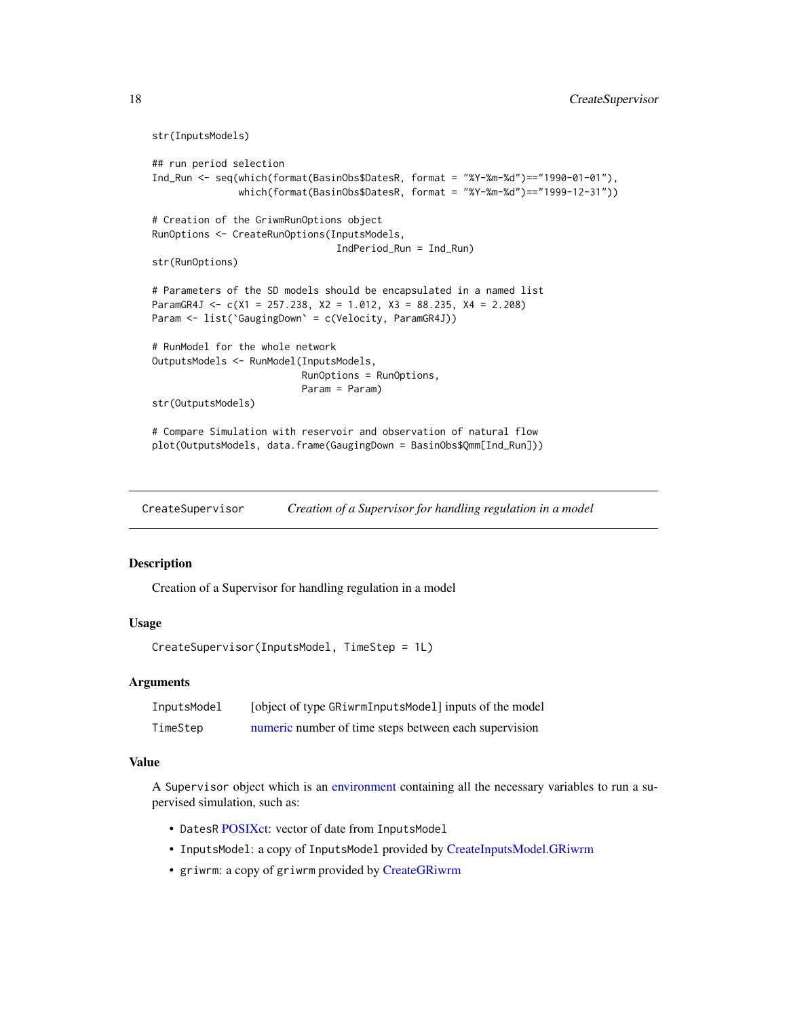```
str(InputsModels)
## run period selection
Ind_Run <- seq(which(format(BasinObs$DatesR, format = "%Y-%m-%d")=="1990-01-01"),
               which(format(BasinObs$DatesR, format = "%Y-%m-%d")=="1999-12-31"))
# Creation of the GriwmRunOptions object
RunOptions <- CreateRunOptions(InputsModels,
                                IndPeriod_Run = Ind_Run)
str(RunOptions)
# Parameters of the SD models should be encapsulated in a named list
ParamGR4J <- c(X1 = 257.238, X2 = 1.012, X3 = 88.235, X4 = 2.208)
Param <- list(`GaugingDown` = c(Velocity, ParamGR4J))
# RunModel for the whole network
OutputsModels <- RunModel(InputsModels,
                          RunOptions = RunOptions,
                          Param = Param)
str(OutputsModels)
# Compare Simulation with reservoir and observation of natural flow
plot(OutputsModels, data.frame(GaugingDown = BasinObs$Qmm[Ind_Run]))
```
<span id="page-17-1"></span>CreateSupervisor *Creation of a Supervisor for handling regulation in a model*

#### **Description**

Creation of a Supervisor for handling regulation in a model

#### Usage

```
CreateSupervisor(InputsModel, TimeStep = 1L)
```
#### Arguments

| InputsModel | [object of type GRiwrmInputsModel] inputs of the model |
|-------------|--------------------------------------------------------|
| TimeStep    | numeric number of time steps between each supervision  |

#### Value

A Supervisor object which is an [environment](#page-0-0) containing all the necessary variables to run a supervised simulation, such as:

- DatesR [POSIXct:](#page-0-0) vector of date from InputsModel
- InputsModel: a copy of InputsModel provided by [CreateInputsModel.GRiwrm](#page-11-2)
- griwrm: a copy of griwrm provided by [CreateGRiwrm](#page-6-1)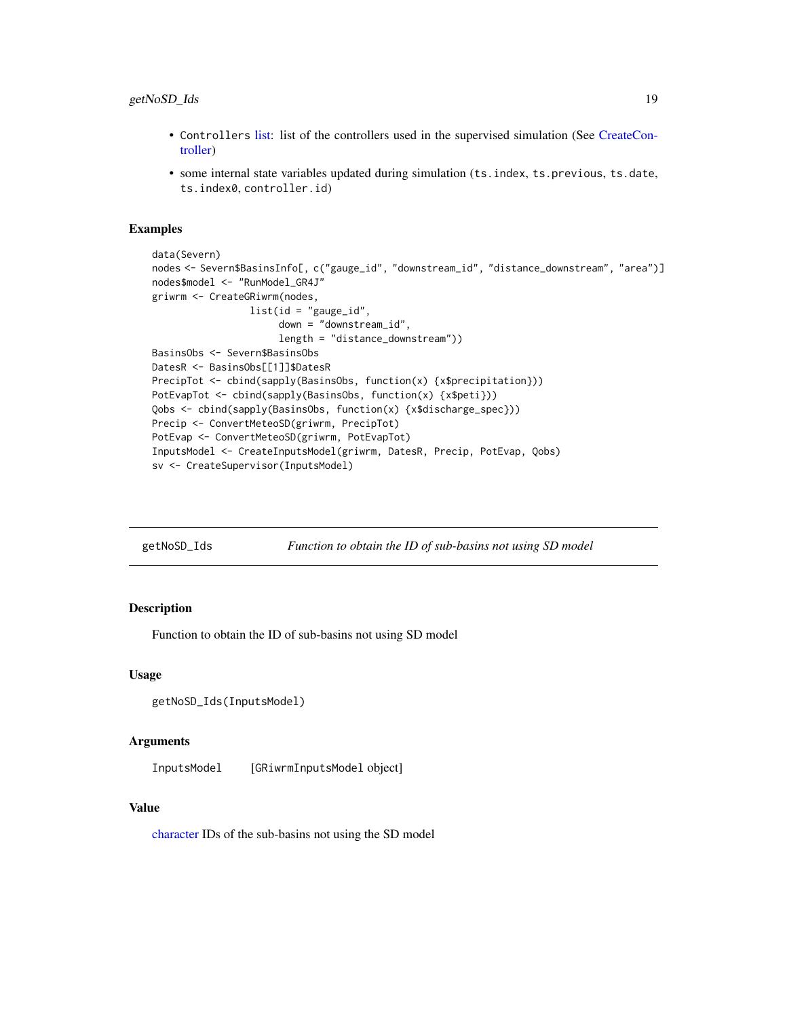## <span id="page-18-0"></span>getNoSD\_Ids 19

- Controllers [list:](#page-0-0) list of the controllers used in the supervised simulation (See [CreateCon](#page-5-1)[troller\)](#page-5-1)
- some internal state variables updated during simulation (ts.index, ts.previous, ts.date, ts.index0, controller.id)

#### Examples

```
data(Severn)
nodes <- Severn$BasinsInfo[, c("gauge_id", "downstream_id", "distance_downstream", "area")]
nodes$model <- "RunModel_GR4J"
griwrm <- CreateGRiwrm(nodes,
                 list(id = "gauge_id",
                      down = "downstream_id",
                      length = "distance_downstream"))
BasinsObs <- Severn$BasinsObs
DatesR <- BasinsObs[[1]]$DatesR
PrecipTot <- cbind(sapply(BasinsObs, function(x) {x$precipitation}))
PotEvapTot <- cbind(sapply(BasinsObs, function(x) {x$peti}))
Qobs <- cbind(sapply(BasinsObs, function(x) {x$discharge_spec}))
Precip <- ConvertMeteoSD(griwrm, PrecipTot)
PotEvap <- ConvertMeteoSD(griwrm, PotEvapTot)
InputsModel <- CreateInputsModel(griwrm, DatesR, Precip, PotEvap, Qobs)
sv <- CreateSupervisor(InputsModel)
```
getNoSD\_Ids *Function to obtain the ID of sub-basins not using SD model*

## Description

Function to obtain the ID of sub-basins not using SD model

#### Usage

```
getNoSD_Ids(InputsModel)
```
## Arguments

InputsModel [GRiwrmInputsModel object]

#### Value

[character](#page-0-0) IDs of the sub-basins not using the SD model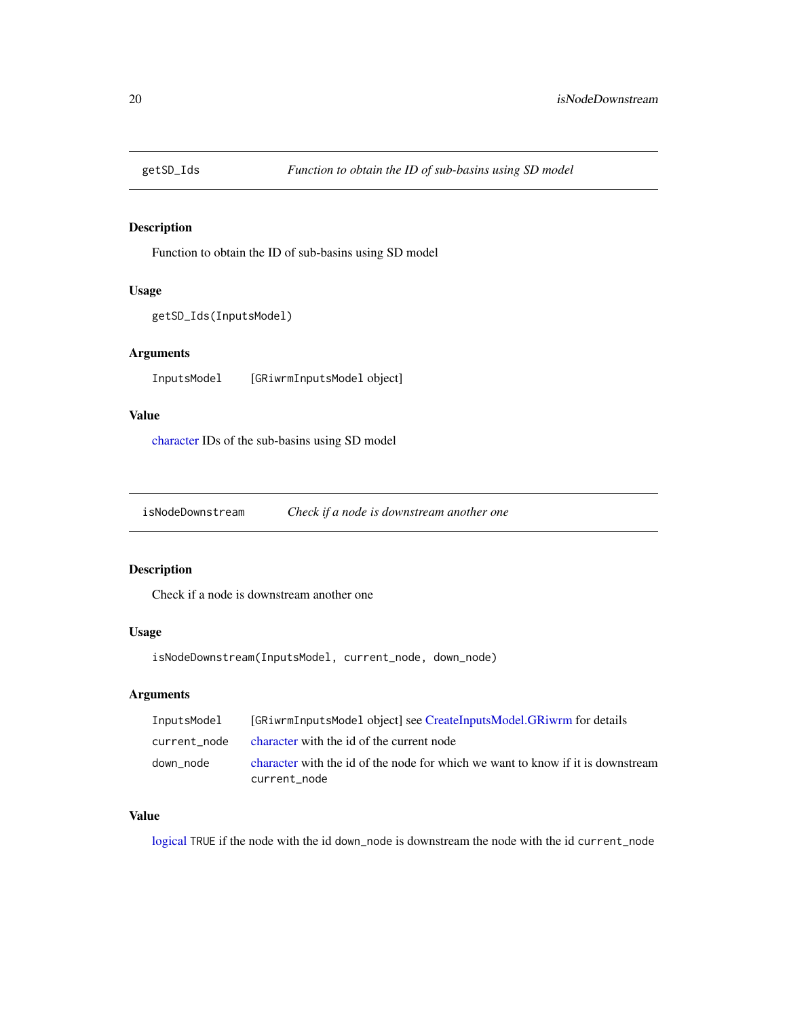<span id="page-19-0"></span>

Function to obtain the ID of sub-basins using SD model

## Usage

```
getSD_Ids(InputsModel)
```
## Arguments

InputsModel [GRiwrmInputsModel object]

## Value

[character](#page-0-0) IDs of the sub-basins using SD model

isNodeDownstream *Check if a node is downstream another one*

## Description

Check if a node is downstream another one

## Usage

isNodeDownstream(InputsModel, current\_node, down\_node)

## Arguments

| InputsModel  | [GRiwrmInputsModel object] see CreateInputsModel.GRiwrm for details                             |
|--------------|-------------------------------------------------------------------------------------------------|
| current node | character with the id of the current node                                                       |
| down node    | character with the id of the node for which we want to know if it is downstream<br>current node |

## Value

[logical](#page-0-0) TRUE if the node with the id down\_node is downstream the node with the id current\_node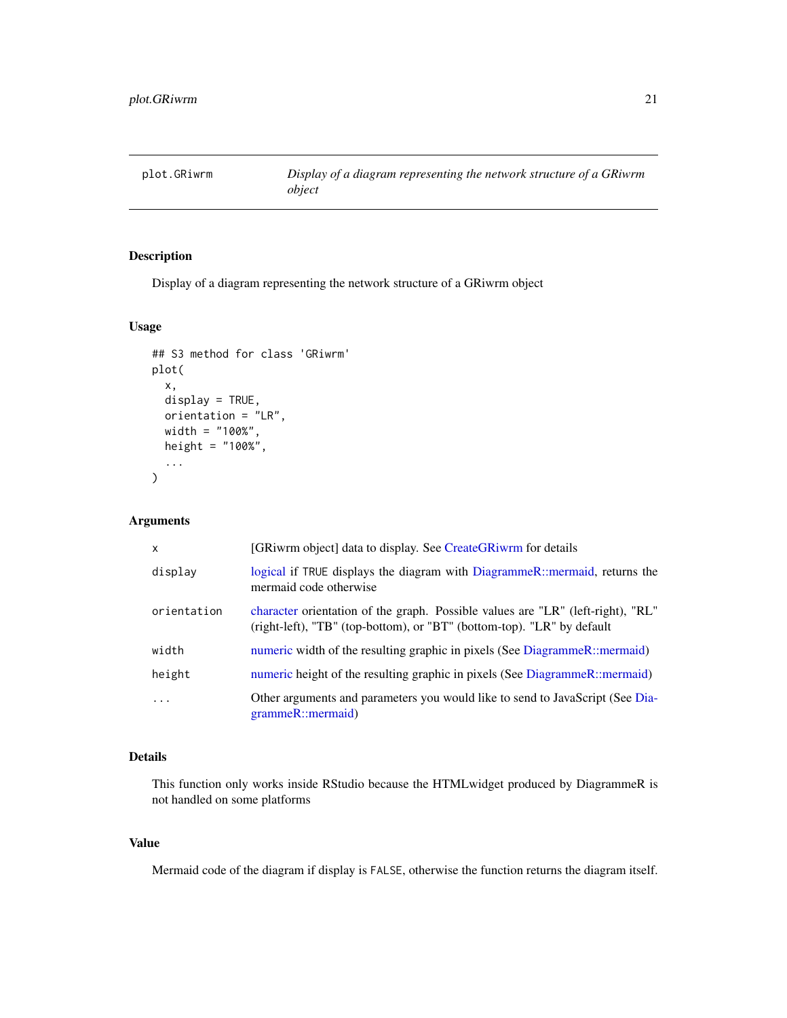<span id="page-20-0"></span>

Display of a diagram representing the network structure of a GRiwrm object

## Usage

```
## S3 method for class 'GRiwrm'
plot(
  x,
 display = TRUE,
 orientation = "LR",
 width = "100%",
 height = "100\%",
  ...
)
```
## Arguments

| x           | [GRiwrm object] data to display. See CreateGRiwrm for details                                                                                             |
|-------------|-----------------------------------------------------------------------------------------------------------------------------------------------------------|
| display     | logical if TRUE displays the diagram with DiagrammeR::mermaid, returns the<br>mermaid code otherwise                                                      |
| orientation | character orientation of the graph. Possible values are "LR" (left-right), "RL"<br>(right-left), "TB" (top-bottom), or "BT" (bottom-top). "LR" by default |
| width       | numeric width of the resulting graphic in pixels (See DiagrammeR::mermaid)                                                                                |
| height      | numeric height of the resulting graphic in pixels (See DiagrammeR::mermaid)                                                                               |
| $\cdot$     | Other arguments and parameters you would like to send to JavaScript (See Dia-<br>grammeR::mermaid)                                                        |

## Details

This function only works inside RStudio because the HTMLwidget produced by DiagrammeR is not handled on some platforms

## Value

Mermaid code of the diagram if display is FALSE, otherwise the function returns the diagram itself.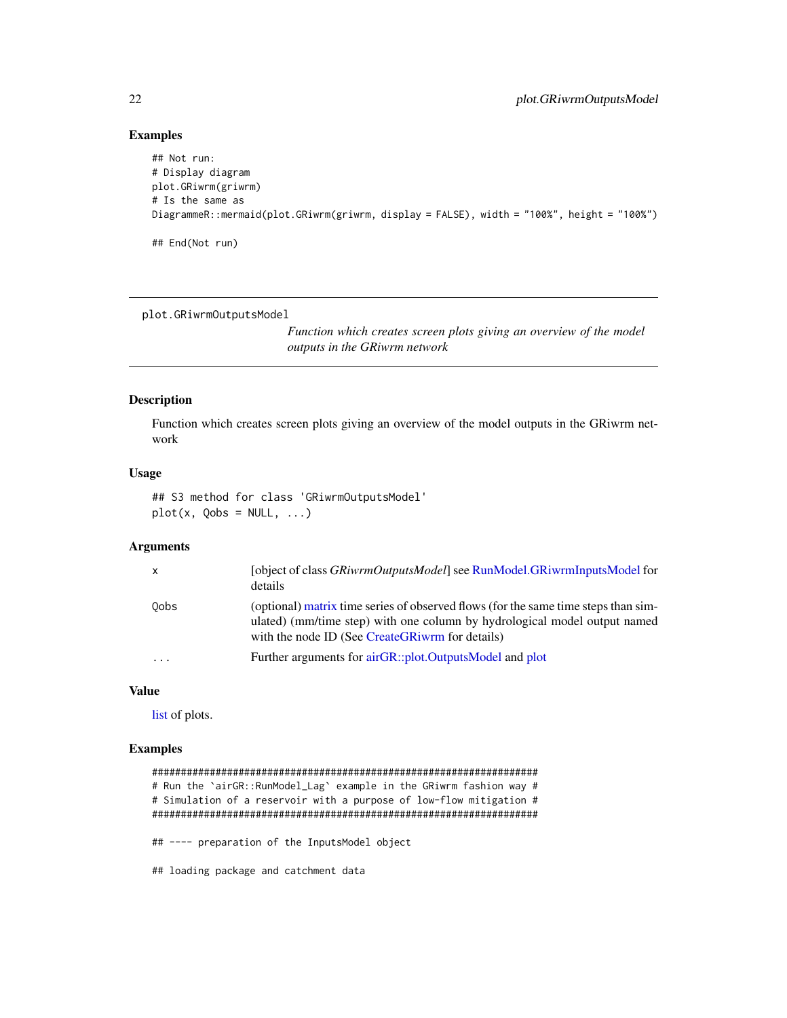#### Examples

```
## Not run:
# Display diagram
plot.GRiwrm(griwrm)
# Is the same as
DiagrammeR::mermaid(plot.GRiwrm(griwrm, display = FALSE), width = "100%", height = "100%")
## End(Not run)
```
plot.GRiwrmOutputsModel

*Function which creates screen plots giving an overview of the model outputs in the GRiwrm network*

#### Description

Function which creates screen plots giving an overview of the model outputs in the GRiwrm network

## Usage

```
## S3 method for class 'GRiwrmOutputsModel'
plot(x, Qobs = NULL, ...)
```
#### Arguments

| $\mathsf{x}$            | [object of class <i>GRiwrmOutputsModel</i> ] see RunModel.GRiwrmInputsModel for<br>details                                                                                                                         |
|-------------------------|--------------------------------------------------------------------------------------------------------------------------------------------------------------------------------------------------------------------|
| 0obs                    | (optional) matrix time series of observed flows (for the same time steps than sim-<br>ulated) (mm/time step) with one column by hydrological model output named<br>with the node ID (See CreateGRiwrm for details) |
| $\cdot$ $\cdot$ $\cdot$ | Further arguments for airGR::plot.OutputsModel and plot                                                                                                                                                            |

#### Value

[list](#page-0-0) of plots.

## Examples

```
###################################################################
# Run the `airGR::RunModel_Lag` example in the GRiwrm fashion way #
# Simulation of a reservoir with a purpose of low-flow mitigation #
###################################################################
## ---- preparation of the InputsModel object
## loading package and catchment data
```
<span id="page-21-0"></span>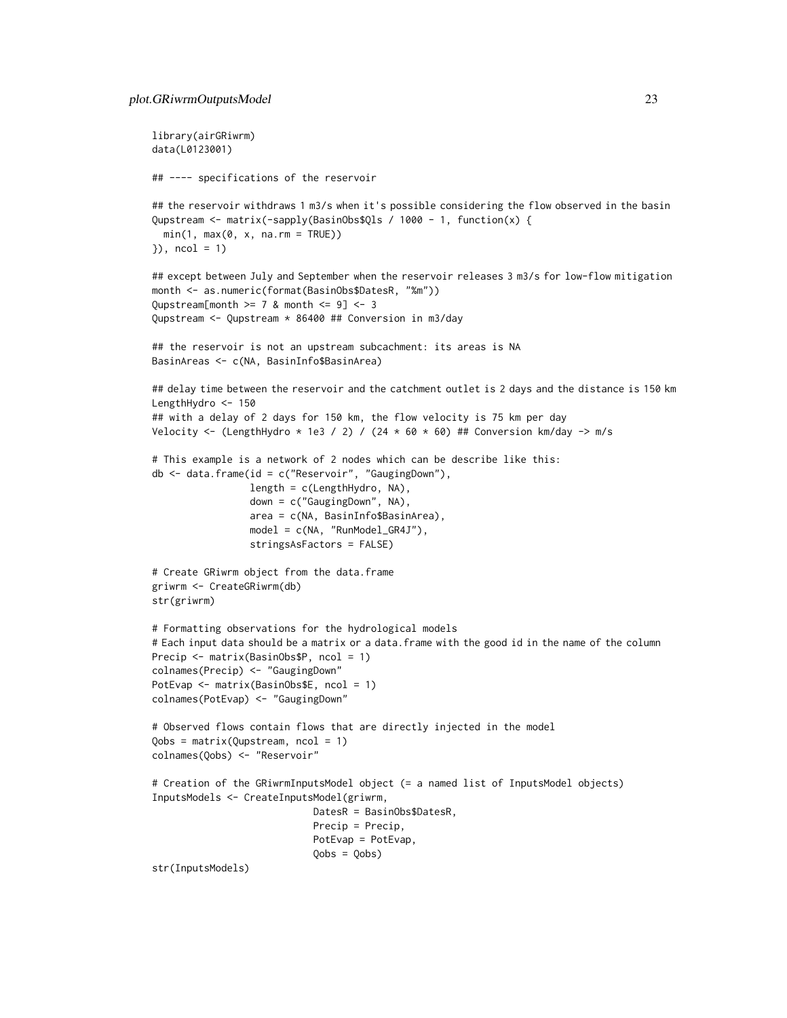```
library(airGRiwrm)
data(L0123001)
## ---- specifications of the reservoir
## the reservoir withdraws 1 m3/s when it's possible considering the flow observed in the basin
Qupstream <- matrix(-sapply(BasinObs$Qls / 1000 - 1, function(x) {
 min(1, max(0, x, na.rm = TRUE))}), ncol = 1)
## except between July and September when the reservoir releases 3 m3/s for low-flow mitigation
month <- as.numeric(format(BasinObs$DatesR, "%m"))
Qupstream[month >= 7 & month <= 9] <- 3Qupstream <- Qupstream * 86400 ## Conversion in m3/day
## the reservoir is not an upstream subcachment: its areas is NA
BasinAreas <- c(NA, BasinInfo$BasinArea)
## delay time between the reservoir and the catchment outlet is 2 days and the distance is 150 km
LengthHydro <- 150
## with a delay of 2 days for 150 km, the flow velocity is 75 km per day
Velocity <- (LengthHydro * 1e3 / 2) / (24 * 60 * 60) ## Conversion km/day -> m/s
# This example is a network of 2 nodes which can be describe like this:
db <- data.frame(id = c("Reservoir", "GaugingDown"),
                 length = c(LengthHydro, NA),
                 down = c("GaugingDown", NA),
                 area = c(NA, BasinInfo$BasinArea),
                 model = c(NA, "RunModel_GR4J"),
                 stringsAsFactors = FALSE)
# Create GRiwrm object from the data.frame
griwrm <- CreateGRiwrm(db)
str(griwrm)
# Formatting observations for the hydrological models
# Each input data should be a matrix or a data.frame with the good id in the name of the column
Precip <- matrix(BasinObs$P, ncol = 1)
colnames(Precip) <- "GaugingDown"
PotEvap <- matrix(BasinObs$E, ncol = 1)
colnames(PotEvap) <- "GaugingDown"
# Observed flows contain flows that are directly injected in the model
Qobs = matrix(Qupstream, ncol = 1)
colnames(Qobs) <- "Reservoir"
# Creation of the GRiwrmInputsModel object (= a named list of InputsModel objects)
InputsModels <- CreateInputsModel(griwrm,
                            DatesR = BasinObs$DatesR,
                            Precip = Precip,
                            PotEvap = PotEvap,
                            Qobs = Qobs)
str(InputsModels)
```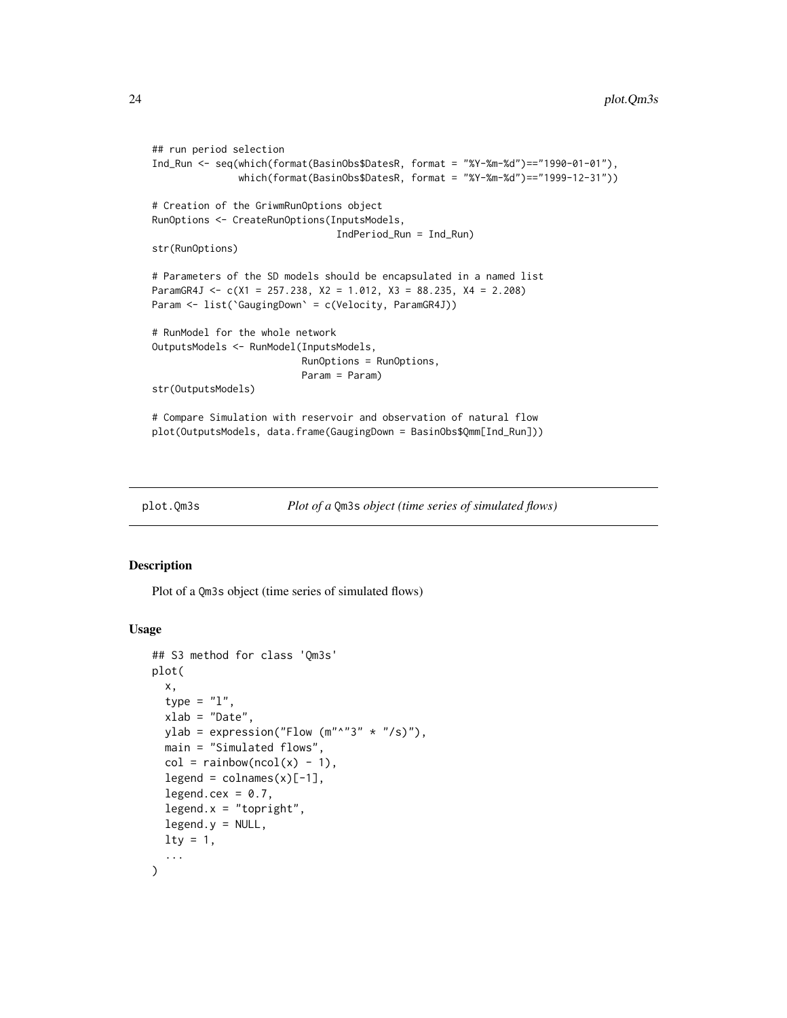```
## run period selection
Ind_Run <- seq(which(format(BasinObs$DatesR, format = "%Y-%m-%d")=="1990-01-01"),
               which(format(BasinObs$DatesR, format = "%Y-%m-%d")=="1999-12-31"))
# Creation of the GriwmRunOptions object
RunOptions <- CreateRunOptions(InputsModels,
                                IndPeriod_Run = Ind_Run)
str(RunOptions)
# Parameters of the SD models should be encapsulated in a named list
ParamGR4J <- c(X1 = 257.238, X2 = 1.012, X3 = 88.235, X4 = 2.208)
Param <- list(`GaugingDown` = c(Velocity, ParamGR4J))
# RunModel for the whole network
OutputsModels <- RunModel(InputsModels,
                          RunOptions = RunOptions,
                          Param = Param)
str(OutputsModels)
# Compare Simulation with reservoir and observation of natural flow
plot(OutputsModels, data.frame(GaugingDown = BasinObs$Qmm[Ind_Run]))
```

```
plot.Qm3s Plot of a Qm3s object (time series of simulated flows)
```
Plot of a Qm3s object (time series of simulated flows)

## Usage

```
## S3 method for class 'Qm3s'
plot(
  x,
  type = "1",
  xlab = "Date",
  ylab = expression("Flow (m''^{\prime\prime\prime}3'' \star ''/s)"),
  main = "Simulated flows",
  col = rainbow(ncol(x) - 1),legent = colnames(x)[-1],legend.cex = 0.7,
  legent.x = "topright",legend.y = NULL,lty = 1,
  ...
)
```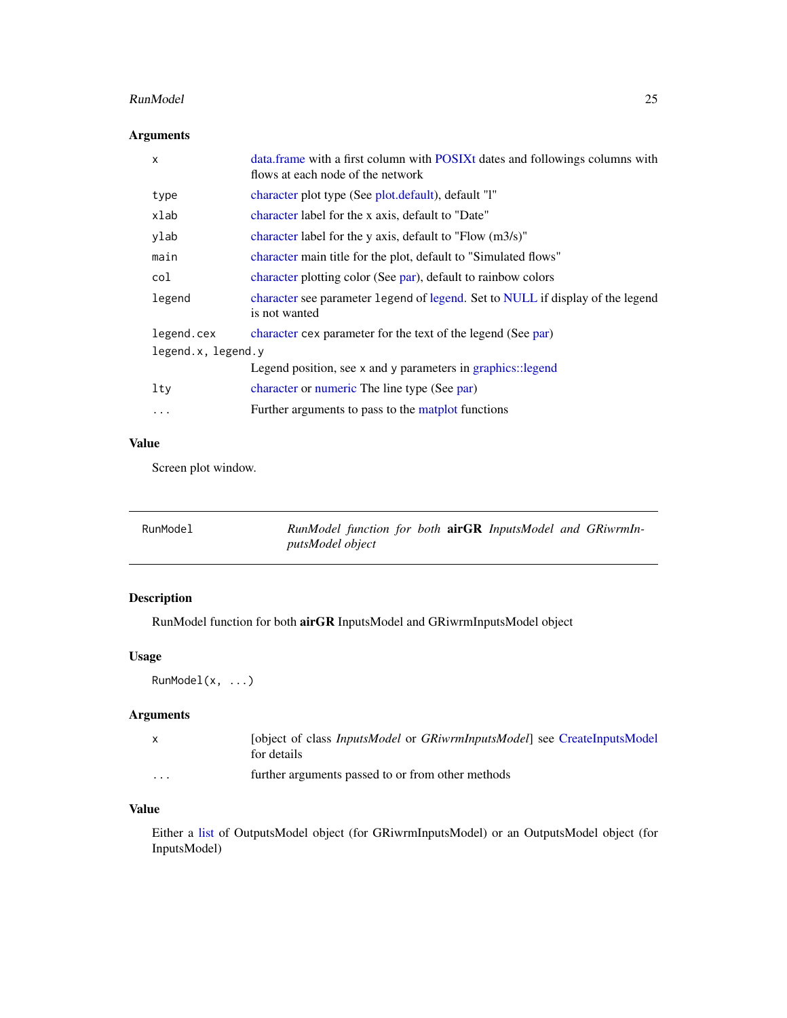#### <span id="page-24-0"></span>RunModel 25

## Arguments

| X                  | data. frame with a first column with POSIXt dates and followings columns with<br>flows at each node of the network |  |
|--------------------|--------------------------------------------------------------------------------------------------------------------|--|
| type               | character plot type (See plot.default), default "1"                                                                |  |
| xlab               | character label for the x axis, default to "Date"                                                                  |  |
| ylab               | character label for the y axis, default to "Flow $(m3/s)$ "                                                        |  |
| main               | character main title for the plot, default to "Simulated flows"                                                    |  |
| col                | character plotting color (See par), default to rainbow colors                                                      |  |
| legend             | character see parameter legend of legend. Set to NULL if display of the legend<br>is not wanted                    |  |
| legend.cex         | character cex parameter for the text of the legend (See par)                                                       |  |
| legend.x, legend.y |                                                                                                                    |  |
|                    | Legend position, see x and y parameters in graphics: legend                                                        |  |
| lty                | character or numeric The line type (See par)                                                                       |  |
| $\cdots$           | Further arguments to pass to the matplot functions                                                                 |  |

## Value

Screen plot window.

| RunModel | RunModel function for both <b>airGR</b> InputsModel and GRiwrmIn- |  |  |  |
|----------|-------------------------------------------------------------------|--|--|--|
|          | <i>putsModel object</i>                                           |  |  |  |

## Description

RunModel function for both airGR InputsModel and GRiwrmInputsModel object

## Usage

```
RunModel(x, ...)
```
## Arguments

|                      | [object of class <i>InputsModel</i> or <i>GRiwrmInputsModel</i> ] see CreateInputsModel<br>for details |
|----------------------|--------------------------------------------------------------------------------------------------------|
| $\ddot{\phantom{0}}$ | further arguments passed to or from other methods                                                      |

## Value

Either a [list](#page-0-0) of OutputsModel object (for GRiwrmInputsModel) or an OutputsModel object (for InputsModel)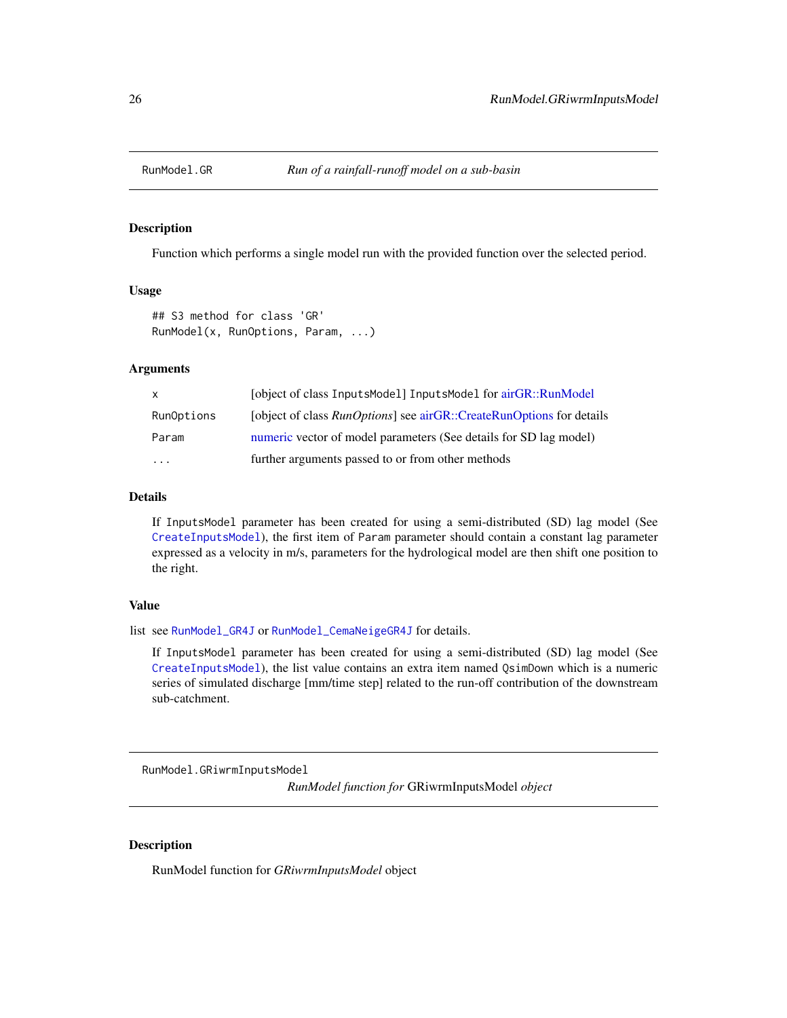<span id="page-25-0"></span>

Function which performs a single model run with the provided function over the selected period.

#### Usage

```
## S3 method for class 'GR'
RunModel(x, RunOptions, Param, ...)
```
#### Arguments

| $\mathsf{X}$ | [object of class InputsModel] InputsModel for airGR::RunModel                |
|--------------|------------------------------------------------------------------------------|
| RunOptions   | [object of class <i>RunOptions</i> ] see airGR::CreateRunOptions for details |
| Param        | numeric vector of model parameters (See details for SD lag model)            |
| $\cdot$      | further arguments passed to or from other methods                            |

## Details

If InputsModel parameter has been created for using a semi-distributed (SD) lag model (See [CreateInputsModel](#page-11-1)), the first item of Param parameter should contain a constant lag parameter expressed as a velocity in m/s, parameters for the hydrological model are then shift one position to the right.

#### Value

list see [RunModel\\_GR4J](#page-0-0) or [RunModel\\_CemaNeigeGR4J](#page-0-0) for details.

If InputsModel parameter has been created for using a semi-distributed (SD) lag model (See [CreateInputsModel](#page-11-1)), the list value contains an extra item named QsimDown which is a numeric series of simulated discharge [mm/time step] related to the run-off contribution of the downstream sub-catchment.

<span id="page-25-1"></span>RunModel.GRiwrmInputsModel

*RunModel function for* GRiwrmInputsModel *object*

#### Description

RunModel function for *GRiwrmInputsModel* object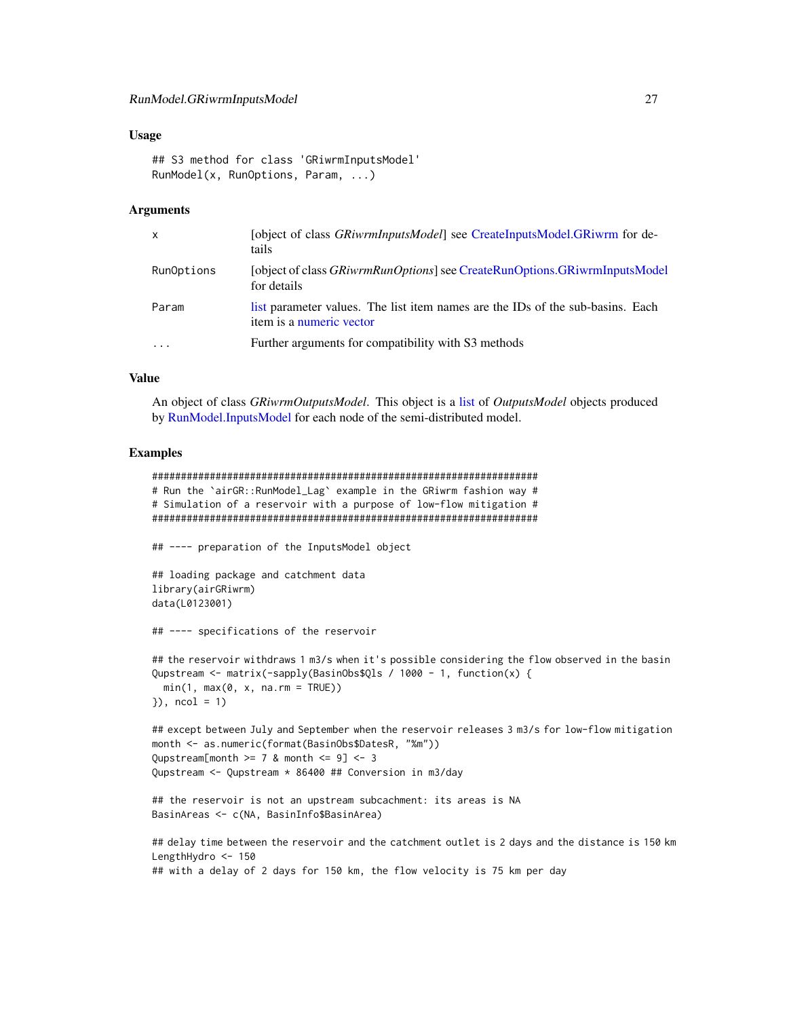#### <span id="page-26-0"></span>Usage

```
## S3 method for class 'GRiwrmInputsModel'
RunModel(x, RunOptions, Param, ...)
```
#### Arguments

| $\mathsf{x}$ | [object of class <i>GRiwrmInputsModel</i> ] see CreateInputsModel.GRiwrm for de-<br>tails                  |
|--------------|------------------------------------------------------------------------------------------------------------|
| RunOptions   | [object of class <i>GRiwrmRunOptions</i> ] see CreateRunOptions.GRiwrmInputsModel<br>for details           |
| Param        | list parameter values. The list item names are the IDs of the sub-basins. Each<br>item is a numeric vector |
| $\cdots$     | Further arguments for compatibility with S3 methods                                                        |

#### Value

An object of class *GRiwrmOutputsModel*. This object is a [list](#page-0-0) of *OutputsModel* objects produced by [RunModel.InputsModel](#page-28-1) for each node of the semi-distributed model.

#### Examples

```
###################################################################
# Run the `airGR::RunModel_Lag` example in the GRiwrm fashion way #
# Simulation of a reservoir with a purpose of low-flow mitigation #
###################################################################
## ---- preparation of the InputsModel object
## loading package and catchment data
library(airGRiwrm)
data(L0123001)
## ---- specifications of the reservoir
## the reservoir withdraws 1 m3/s when it's possible considering the flow observed in the basin
Qupstream <- matrix(-sapply(BasinObs$Qls / 1000 - 1, function(x) {
 min(1, max(0, x, na.rm = TRUE))}), ncol = 1)
## except between July and September when the reservoir releases 3 m3/s for low-flow mitigation
month <- as.numeric(format(BasinObs$DatesR, "%m"))
Qupstream[month >= 7 & month <= 9] <- 3Qupstream <- Qupstream * 86400 ## Conversion in m3/day
## the reservoir is not an upstream subcachment: its areas is NA
BasinAreas <- c(NA, BasinInfo$BasinArea)
```

```
## delay time between the reservoir and the catchment outlet is 2 days and the distance is 150 km
LengthHydro <- 150
## with a delay of 2 days for 150 km, the flow velocity is 75 km per day
```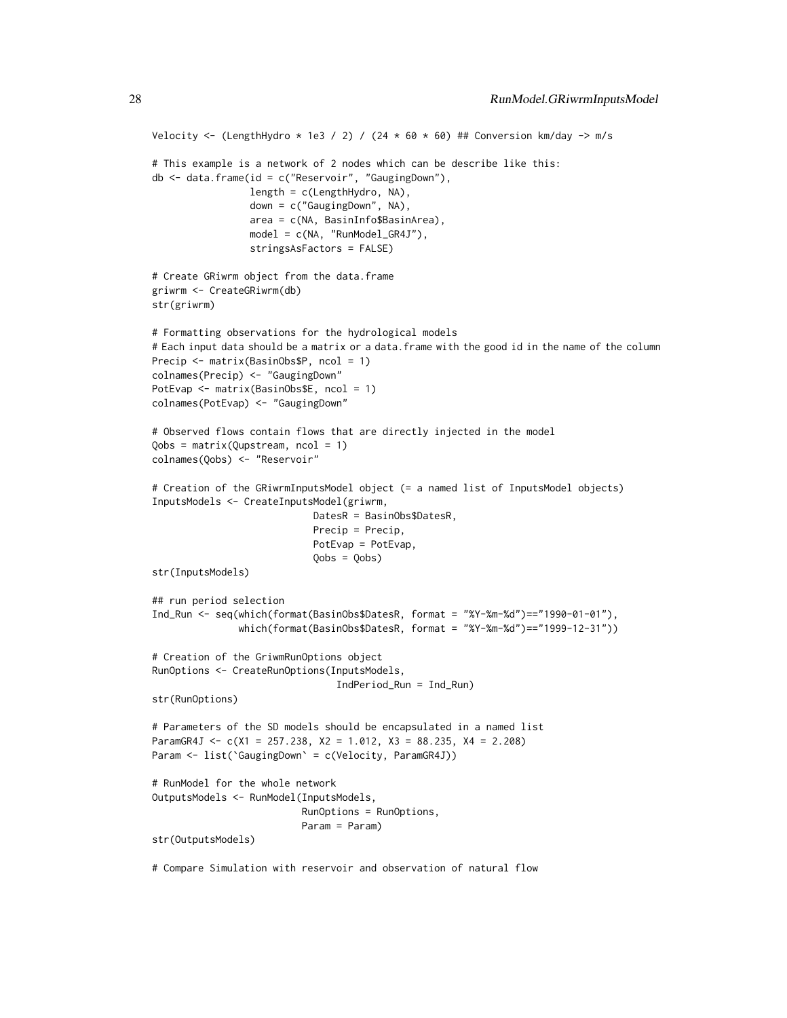```
Velocity <- (LengthHydro * 1e3 / 2) / (24 * 60 * 60) ## Conversion km/day -> m/s
# This example is a network of 2 nodes which can be describe like this:
db <- data.frame(id = c("Reservoir", "GaugingDown"),
                 length = c(LengthHydro, NA),
                 down = c("GaugingDown", NA),
                 area = c(NA, BasinInfo$BasinArea),
                 model = c(NA, "RunModel_GR4J"),
                 stringsAsFactors = FALSE)
# Create GRiwrm object from the data.frame
griwrm <- CreateGRiwrm(db)
str(griwrm)
# Formatting observations for the hydrological models
# Each input data should be a matrix or a data.frame with the good id in the name of the column
Precip <- matrix(BasinObs$P, ncol = 1)
colnames(Precip) <- "GaugingDown"
PotEvap <- matrix(BasinObs$E, ncol = 1)
colnames(PotEvap) <- "GaugingDown"
# Observed flows contain flows that are directly injected in the model
Qobs = matrix(Qupstream, ncol = 1)
colnames(Qobs) <- "Reservoir"
# Creation of the GRiwrmInputsModel object (= a named list of InputsModel objects)
InputsModels <- CreateInputsModel(griwrm,
                            DatesR = BasinObs$DatesR,
                            Precip = Precip,
                            PotEvap = PotEvap,
                            Qobs = Qobs)
str(InputsModels)
## run period selection
Ind_Run <- seq(which(format(BasinObs$DatesR, format = "%Y-%m-%d")=="1990-01-01"),
               which(format(BasinObs$DatesR, format = "%Y-%m-%d")=="1999-12-31"))
# Creation of the GriwmRunOptions object
RunOptions <- CreateRunOptions(InputsModels,
                                IndPeriod_Run = Ind_Run)
str(RunOptions)
# Parameters of the SD models should be encapsulated in a named list
ParamGR4J <- c(X1 = 257.238, X2 = 1.012, X3 = 88.235, X4 = 2.208)
Param <- list(`GaugingDown` = c(Velocity, ParamGR4J))
# RunModel for the whole network
OutputsModels <- RunModel(InputsModels,
                          RunOptions = RunOptions,
                          Param = Param)
str(OutputsModels)
# Compare Simulation with reservoir and observation of natural flow
```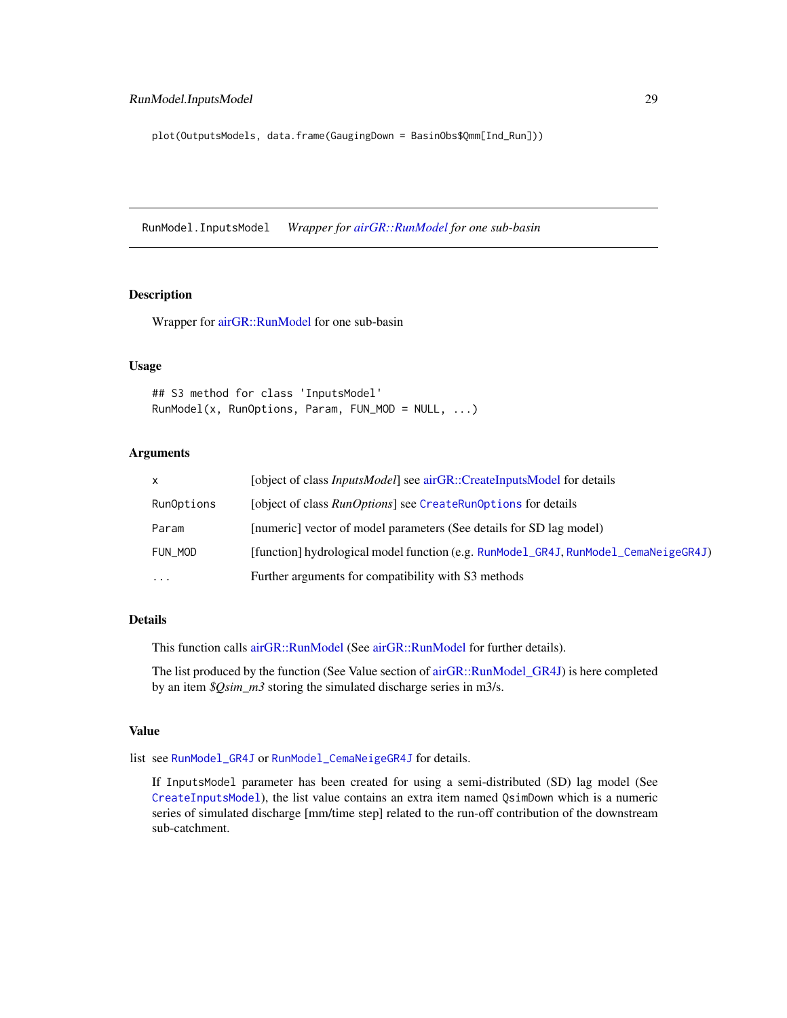<span id="page-28-0"></span>plot(OutputsModels, data.frame(GaugingDown = BasinObs\$Qmm[Ind\_Run]))

<span id="page-28-1"></span>RunModel.InputsModel *Wrapper for [airGR::RunModel](#page-0-0) for one sub-basin*

#### Description

Wrapper for [airGR::RunModel](#page-0-0) for one sub-basin

#### Usage

## S3 method for class 'InputsModel' RunModel(x, RunOptions, Param, FUN\_MOD = NULL, ...)

## Arguments

| x          | [object of class <i>InputsModel</i> ] see airGR::CreateInputsModel for details      |
|------------|-------------------------------------------------------------------------------------|
| RunOptions | [object of class <i>RunOptions</i> ] see CreateRunOptions for details               |
| Param      | [numeric] vector of model parameters (See details for SD lag model)                 |
| FUN MOD    | [function] hydrological model function (e.g. RunModel_GR4J, RunModel_CemaNeigeGR4J) |
| $\cdots$   | Further arguments for compatibility with S3 methods                                 |

#### Details

This function calls [airGR::RunModel](#page-0-0) (See [airGR::RunModel](#page-0-0) for further details).

The list produced by the function (See Value section of [airGR::RunModel\\_GR4J\)](#page-0-0) is here completed by an item *\$Qsim\_m3* storing the simulated discharge series in m3/s.

#### Value

list see [RunModel\\_GR4J](#page-0-0) or [RunModel\\_CemaNeigeGR4J](#page-0-0) for details.

If InputsModel parameter has been created for using a semi-distributed (SD) lag model (See [CreateInputsModel](#page-11-1)), the list value contains an extra item named QsimDown which is a numeric series of simulated discharge [mm/time step] related to the run-off contribution of the downstream sub-catchment.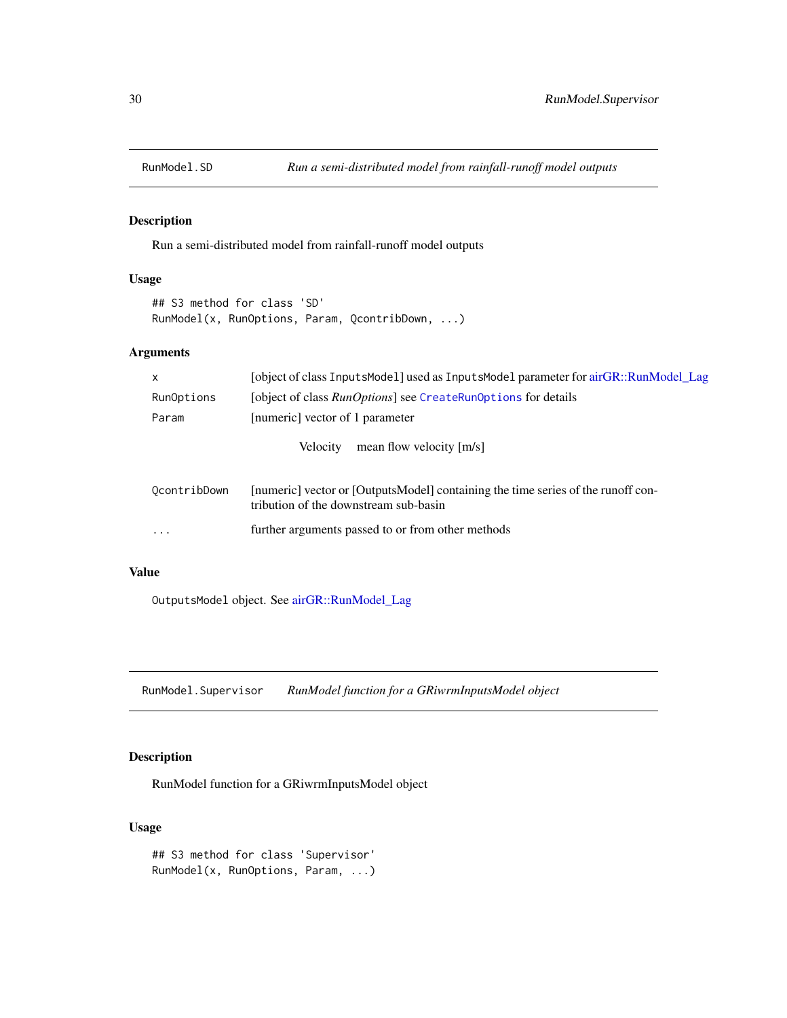<span id="page-29-0"></span>

Run a semi-distributed model from rainfall-runoff model outputs

## Usage

## S3 method for class 'SD' RunModel(x, RunOptions, Param, QcontribDown, ...)

## Arguments

| $\mathsf{x}$ | [object of class InputsMode1] used as InputsMode1 parameter for airGR::RunModel Lag                                       |
|--------------|---------------------------------------------------------------------------------------------------------------------------|
| RunOptions   | [object of class <i>RunOptions</i> ] see CreateRunOptions for details                                                     |
| Param        | [numeric] vector of 1 parameter                                                                                           |
|              | mean flow velocity [m/s]<br><b>Velocity</b>                                                                               |
| OcontribDown | [numeric] vector or [OutputsModel] containing the time series of the runoff con-<br>tribution of the downstream sub-basin |
| $\cdots$     | further arguments passed to or from other methods                                                                         |

## Value

OutputsModel object. See [airGR::RunModel\\_Lag](#page-0-0)

RunModel.Supervisor *RunModel function for a GRiwrmInputsModel object*

## Description

RunModel function for a GRiwrmInputsModel object

## Usage

## S3 method for class 'Supervisor' RunModel(x, RunOptions, Param, ...)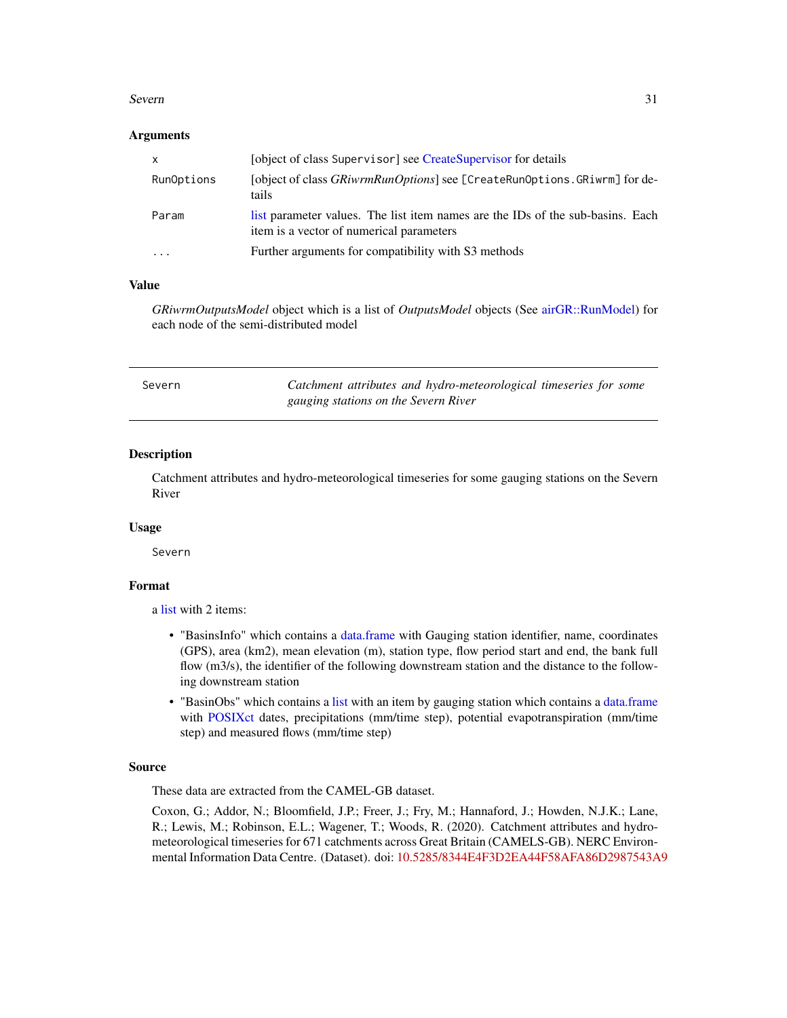#### <span id="page-30-0"></span>Severn 31

#### **Arguments**

| $\times$   | [object of class Supervisor] see CreateSupervisor for details                                                              |
|------------|----------------------------------------------------------------------------------------------------------------------------|
| RunOptions | [object of class <i>GRiwrmRunOptions</i> ] see [CreateRunOptions. GRiwrm] for de-<br>tails.                                |
| Param      | list parameter values. The list item names are the IDs of the sub-basins. Each<br>item is a vector of numerical parameters |
| .          | Further arguments for compatibility with S3 methods                                                                        |

#### Value

*GRiwrmOutputsModel* object which is a list of *OutputsModel* objects (See [airGR::RunModel\)](#page-0-0) for each node of the semi-distributed model

| Severn | Catchment attributes and hydro-meteorological timeseries for some |
|--------|-------------------------------------------------------------------|
|        | gauging stations on the Severn River                              |

#### Description

Catchment attributes and hydro-meteorological timeseries for some gauging stations on the Severn River

## Usage

Severn

## Format

a [list](#page-0-0) with 2 items:

- "BasinsInfo" which contains a [data.frame](#page-0-0) with Gauging station identifier, name, coordinates (GPS), area (km2), mean elevation (m), station type, flow period start and end, the bank full flow (m3/s), the identifier of the following downstream station and the distance to the following downstream station
- "BasinObs" which contains a [list](#page-0-0) with an item by gauging station which contains a [data.frame](#page-0-0) with [POSIXct](#page-0-0) dates, precipitations (mm/time step), potential evapotranspiration (mm/time step) and measured flows (mm/time step)

#### Source

These data are extracted from the CAMEL-GB dataset.

Coxon, G.; Addor, N.; Bloomfield, J.P.; Freer, J.; Fry, M.; Hannaford, J.; Howden, N.J.K.; Lane, R.; Lewis, M.; Robinson, E.L.; Wagener, T.; Woods, R. (2020). Catchment attributes and hydrometeorological timeseries for 671 catchments across Great Britain (CAMELS-GB). NERC Environmental Information Data Centre. (Dataset). doi: [10.5285/8344E4F3D2EA44F58AFA86D2987543A9](https://doi.org/10.5285/8344E4F3-D2EA-44F5-8AFA-86D2987543A9)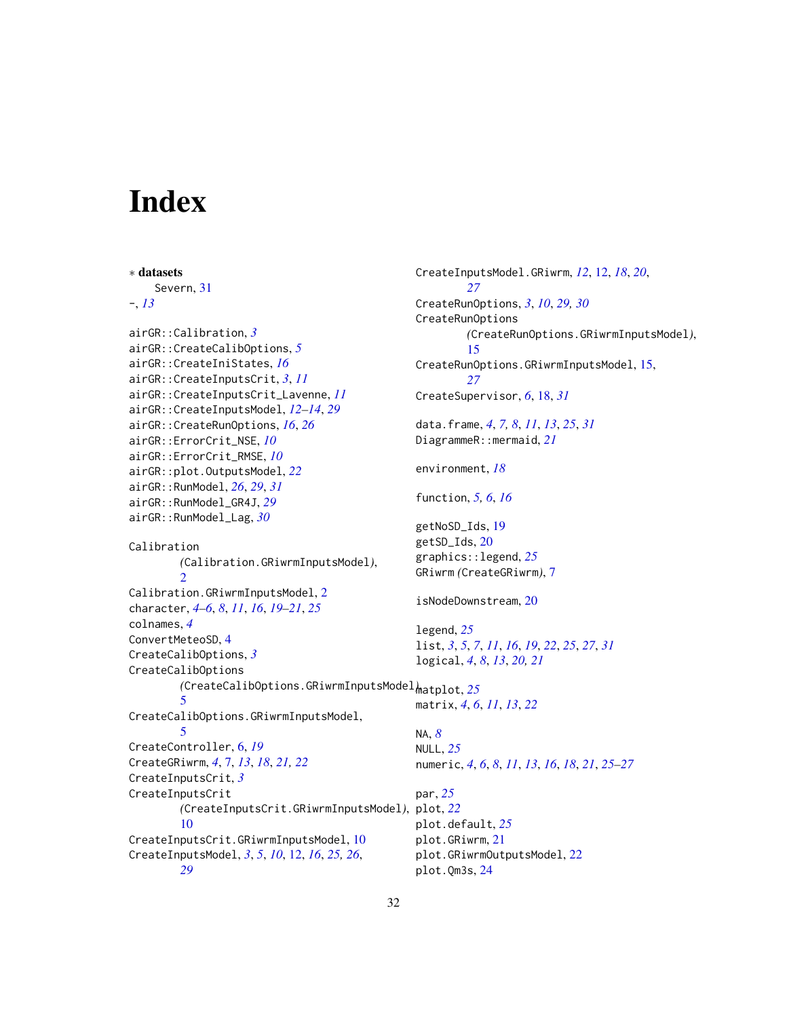# <span id="page-31-0"></span>**Index**

∗ datasets Severn, [31](#page-30-0) -, *[13](#page-12-0)* airGR::Calibration, *[3](#page-2-0)* airGR::CreateCalibOptions, *[5](#page-4-0)* airGR::CreateIniStates, *[16](#page-15-0)* airGR::CreateInputsCrit, *[3](#page-2-0)*, *[11](#page-10-0)* airGR::CreateInputsCrit\_Lavenne, *[11](#page-10-0)* airGR::CreateInputsModel, *[12–](#page-11-0)[14](#page-13-0)*, *[29](#page-28-0)* airGR::CreateRunOptions, *[16](#page-15-0)*, *[26](#page-25-0)* airGR::ErrorCrit\_NSE, *[10](#page-9-0)* airGR::ErrorCrit\_RMSE, *[10](#page-9-0)* airGR::plot.OutputsModel, *[22](#page-21-0)* airGR::RunModel, *[26](#page-25-0)*, *[29](#page-28-0)*, *[31](#page-30-0)* airGR::RunModel\_GR4J, *[29](#page-28-0)* airGR::RunModel\_Lag, *[30](#page-29-0)* Calibration *(*Calibration.GRiwrmInputsModel*)*,  $\mathcal{D}$ Calibration.GRiwrmInputsModel, [2](#page-1-0) character, *[4](#page-3-0)[–6](#page-5-0)*, *[8](#page-7-0)*, *[11](#page-10-0)*, *[16](#page-15-0)*, *[19–](#page-18-0)[21](#page-20-0)*, *[25](#page-24-0)* colnames, *[4](#page-3-0)* ConvertMeteoSD, [4](#page-3-0) CreateCalibOptions, *[3](#page-2-0)* CreateCalibOptions *(*CreateCalibOptions.GRiwrmInputsModel*)*, matplot, *[25](#page-24-0)* [5](#page-4-0) CreateCalibOptions.GRiwrmInputsModel, [5](#page-4-0) CreateController, [6,](#page-5-0) *[19](#page-18-0)* CreateGRiwrm, *[4](#page-3-0)*, [7,](#page-6-0) *[13](#page-12-0)*, *[18](#page-17-0)*, *[21,](#page-20-0) [22](#page-21-0)* CreateInputsCrit, *[3](#page-2-0)* CreateInputsCrit *(*CreateInputsCrit.GRiwrmInputsModel*)*, plot, *[22](#page-21-0)* [10](#page-9-0) CreateInputsCrit.GRiwrmInputsModel, [10](#page-9-0) CreateInputsModel, *[3](#page-2-0)*, *[5](#page-4-0)*, *[10](#page-9-0)*, [12,](#page-11-0) *[16](#page-15-0)*, *[25,](#page-24-0) [26](#page-25-0)*, *[29](#page-28-0)* CreateInputsModel.GRiwrm, *[12](#page-11-0)*, [12,](#page-11-0) *[18](#page-17-0)*, *[20](#page-19-0)*, *[27](#page-26-0)* CreateRunOptions, *[3](#page-2-0)*, *[10](#page-9-0)*, *[29,](#page-28-0) [30](#page-29-0)* CreateRunOptions *(*CreateRunOptions.GRiwrmInputsModel*)*, [15](#page-14-0) CreateRunOptions.GRiwrmInputsModel, [15,](#page-14-0) *[27](#page-26-0)* CreateSupervisor, *[6](#page-5-0)*, [18,](#page-17-0) *[31](#page-30-0)* data.frame, *[4](#page-3-0)*, *[7,](#page-6-0) [8](#page-7-0)*, *[11](#page-10-0)*, *[13](#page-12-0)*, *[25](#page-24-0)*, *[31](#page-30-0)* DiagrammeR::mermaid, *[21](#page-20-0)* environment, *[18](#page-17-0)* function, *[5,](#page-4-0) [6](#page-5-0)*, *[16](#page-15-0)* getNoSD\_Ids, [19](#page-18-0) getSD\_Ids, [20](#page-19-0) graphics::legend, *[25](#page-24-0)* GRiwrm *(*CreateGRiwrm*)*, [7](#page-6-0) isNodeDownstream, [20](#page-19-0) legend, *[25](#page-24-0)* list, *[3](#page-2-0)*, *[5](#page-4-0)*, *[7](#page-6-0)*, *[11](#page-10-0)*, *[16](#page-15-0)*, *[19](#page-18-0)*, *[22](#page-21-0)*, *[25](#page-24-0)*, *[27](#page-26-0)*, *[31](#page-30-0)* logical, *[4](#page-3-0)*, *[8](#page-7-0)*, *[13](#page-12-0)*, *[20,](#page-19-0) [21](#page-20-0)* matrix, *[4](#page-3-0)*, *[6](#page-5-0)*, *[11](#page-10-0)*, *[13](#page-12-0)*, *[22](#page-21-0)* NA, *[8](#page-7-0)* NULL, *[25](#page-24-0)* numeric, *[4](#page-3-0)*, *[6](#page-5-0)*, *[8](#page-7-0)*, *[11](#page-10-0)*, *[13](#page-12-0)*, *[16](#page-15-0)*, *[18](#page-17-0)*, *[21](#page-20-0)*, *[25](#page-24-0)[–27](#page-26-0)* par, *[25](#page-24-0)* plot.default, *[25](#page-24-0)* plot.GRiwrm, [21](#page-20-0) plot.GRiwrmOutputsModel, [22](#page-21-0) plot.Qm3s, [24](#page-23-0)